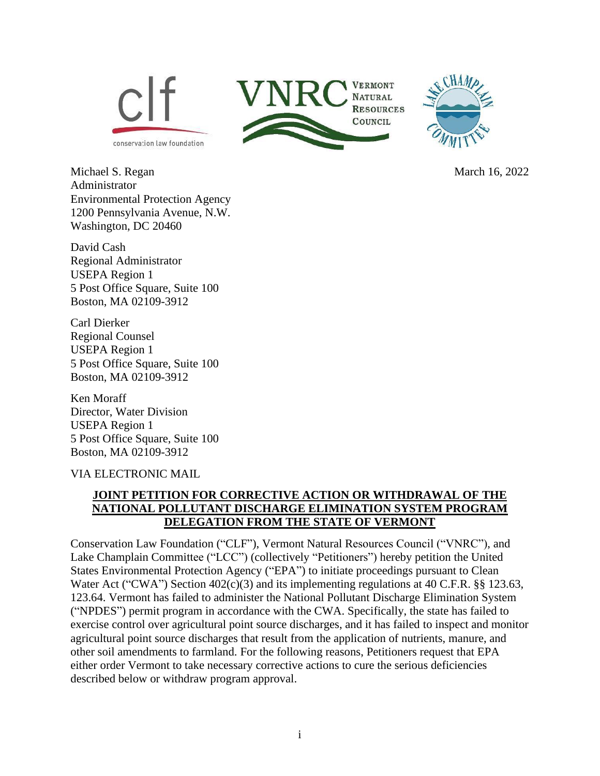

Michael S. Regan March 16, 2022 Administrator Environmental Protection Agency 1200 Pennsylvania Avenue, N.W. Washington, DC 20460

David Cash Regional Administrator USEPA Region 1 5 Post Office Square, Suite 100 Boston, MA 02109-3912

Carl Dierker Regional Counsel USEPA Region 1 5 Post Office Square, Suite 100 Boston, MA 02109-3912

Ken Moraff Director, Water Division USEPA Region 1 5 Post Office Square, Suite 100 Boston, MA 02109-3912

#### VIA ELECTRONIC MAIL

## **JOINT PETITION FOR CORRECTIVE ACTION OR WITHDRAWAL OF THE NATIONAL POLLUTANT DISCHARGE ELIMINATION SYSTEM PROGRAM DELEGATION FROM THE STATE OF VERMONT**

Conservation Law Foundation ("CLF"), Vermont Natural Resources Council ("VNRC"), and Lake Champlain Committee ("LCC") (collectively "Petitioners") hereby petition the United States Environmental Protection Agency ("EPA") to initiate proceedings pursuant to Clean Water Act ("CWA") Section 402(c)(3) and its implementing regulations at 40 C.F.R. §§ 123.63, 123.64. Vermont has failed to administer the National Pollutant Discharge Elimination System ("NPDES") permit program in accordance with the CWA. Specifically, the state has failed to exercise control over agricultural point source discharges, and it has failed to inspect and monitor agricultural point source discharges that result from the application of nutrients, manure, and other soil amendments to farmland. For the following reasons, Petitioners request that EPA either order Vermont to take necessary corrective actions to cure the serious deficiencies described below or withdraw program approval.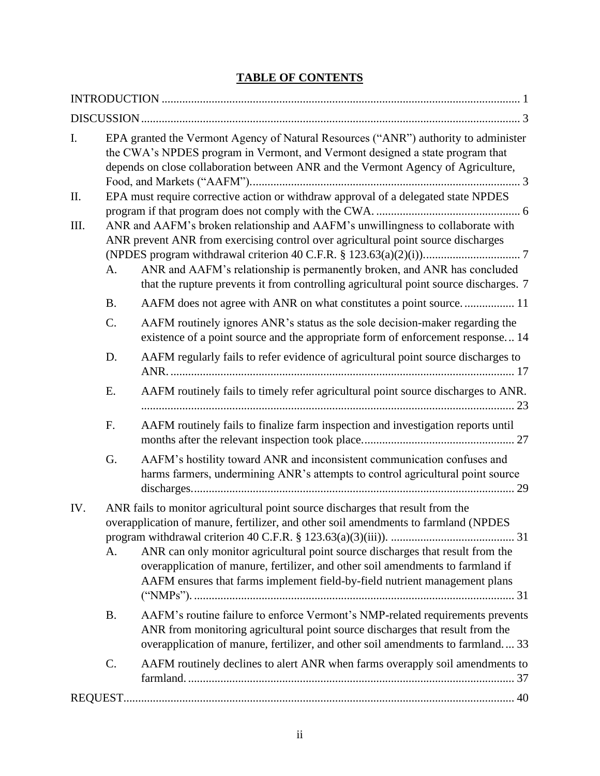## **TABLE OF CONTENTS**

| I.   |                 | EPA granted the Vermont Agency of Natural Resources ("ANR") authority to administer<br>the CWA's NPDES program in Vermont, and Vermont designed a state program that<br>depends on close collaboration between ANR and the Vermont Agency of Agriculture,                                                                                 |
|------|-----------------|-------------------------------------------------------------------------------------------------------------------------------------------------------------------------------------------------------------------------------------------------------------------------------------------------------------------------------------------|
| Π.   |                 | EPA must require corrective action or withdraw approval of a delegated state NPDES                                                                                                                                                                                                                                                        |
| III. | А.              | ANR and AAFM's broken relationship and AAFM's unwillingness to collaborate with<br>ANR prevent ANR from exercising control over agricultural point source discharges<br>ANR and AAFM's relationship is permanently broken, and ANR has concluded<br>that the rupture prevents it from controlling agricultural point source discharges. 7 |
|      | <b>B.</b>       | AAFM does not agree with ANR on what constitutes a point source 11                                                                                                                                                                                                                                                                        |
|      | C.              | AAFM routinely ignores ANR's status as the sole decision-maker regarding the<br>existence of a point source and the appropriate form of enforcement response 14                                                                                                                                                                           |
|      | D.              | AAFM regularly fails to refer evidence of agricultural point source discharges to                                                                                                                                                                                                                                                         |
|      | E.              | AAFM routinely fails to timely refer agricultural point source discharges to ANR.                                                                                                                                                                                                                                                         |
|      | F.              | AAFM routinely fails to finalize farm inspection and investigation reports until                                                                                                                                                                                                                                                          |
|      | G.              | AAFM's hostility toward ANR and inconsistent communication confuses and<br>harms farmers, undermining ANR's attempts to control agricultural point source                                                                                                                                                                                 |
| IV.  |                 | ANR fails to monitor agricultural point source discharges that result from the<br>overapplication of manure, fertilizer, and other soil amendments to farmland (NPDES                                                                                                                                                                     |
|      | A.              | ANR can only monitor agricultural point source discharges that result from the<br>overapplication of manure, fertilizer, and other soil amendments to farmland if<br>AAFM ensures that farms implement field-by-field nutrient management plans                                                                                           |
|      | <b>B.</b>       | AAFM's routine failure to enforce Vermont's NMP-related requirements prevents<br>ANR from monitoring agricultural point source discharges that result from the<br>overapplication of manure, fertilizer, and other soil amendments to farmland 33                                                                                         |
|      | $\mathcal{C}$ . | AAFM routinely declines to alert ANR when farms overapply soil amendments to                                                                                                                                                                                                                                                              |
|      |                 |                                                                                                                                                                                                                                                                                                                                           |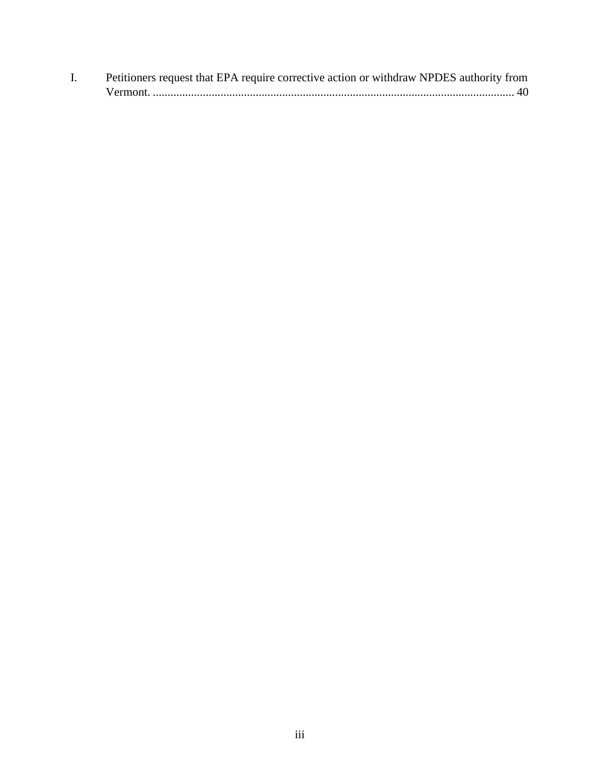| Petitioners request that EPA require corrective action or withdraw NPDES authority from |
|-----------------------------------------------------------------------------------------|
|                                                                                         |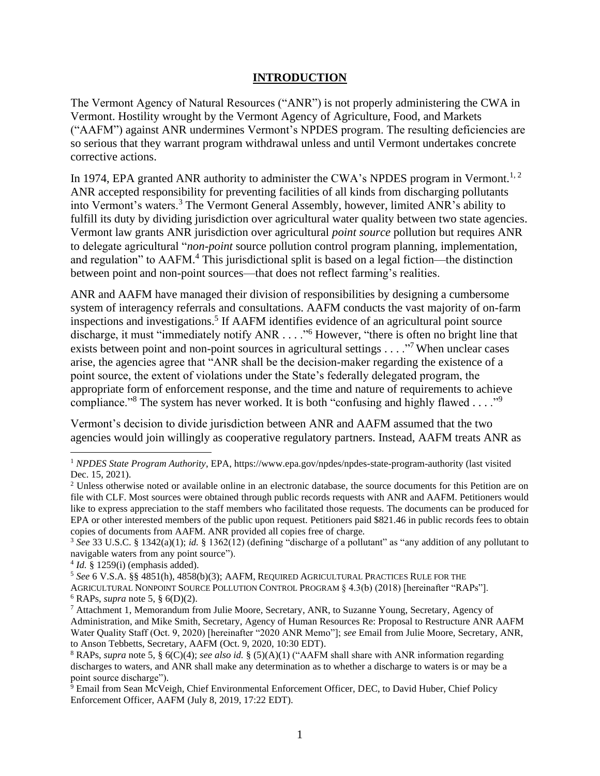#### <span id="page-3-4"></span><span id="page-3-3"></span><span id="page-3-2"></span>**INTRODUCTION**

<span id="page-3-0"></span>The Vermont Agency of Natural Resources ("ANR") is not properly administering the CWA in Vermont. Hostility wrought by the Vermont Agency of Agriculture, Food, and Markets ("AAFM") against ANR undermines Vermont's NPDES program. The resulting deficiencies are so serious that they warrant program withdrawal unless and until Vermont undertakes concrete corrective actions.

In 1974, EPA granted ANR authority to administer the CWA's NPDES program in Vermont.<sup>1, 2</sup> ANR accepted responsibility for preventing facilities of all kinds from discharging pollutants into Vermont's waters.<sup>3</sup> The Vermont General Assembly, however, limited ANR's ability to fulfill its duty by dividing jurisdiction over agricultural water quality between two state agencies. Vermont law grants ANR jurisdiction over agricultural *point source* pollution but requires ANR to delegate agricultural "*non-point* source pollution control program planning, implementation, and regulation" to AAFM. <sup>4</sup> This jurisdictional split is based on a legal fiction—the distinction between point and non-point sources—that does not reflect farming's realities.

<span id="page-3-1"></span>ANR and AAFM have managed their division of responsibilities by designing a cumbersome system of interagency referrals and consultations. AAFM conducts the vast majority of on-farm inspections and investigations.<sup>5</sup> If AAFM identifies evidence of an agricultural point source discharge, it must "immediately notify ANR . . . . "<sup>6</sup> However, "there is often no bright line that exists between point and non-point sources in agricultural settings  $\ldots$ ."<sup>7</sup> When unclear cases arise, the agencies agree that "ANR shall be the decision-maker regarding the existence of a point source, the extent of violations under the State's federally delegated program, the appropriate form of enforcement response, and the time and nature of requirements to achieve compliance."<sup>8</sup> The system has never worked. It is both "confusing and highly flawed . . . ."<sup>9</sup>

Vermont's decision to divide jurisdiction between ANR and AAFM assumed that the two agencies would join willingly as cooperative regulatory partners. Instead, AAFM treats ANR as

<sup>1</sup> *NPDES State Program Authority*, EPA, https://www.epa.gov/npdes/npdes-state-program-authority (last visited Dec. 15, 2021).

<sup>&</sup>lt;sup>2</sup> Unless otherwise noted or available online in an electronic database, the source documents for this Petition are on file with CLF. Most sources were obtained through public records requests with ANR and AAFM. Petitioners would like to express appreciation to the staff members who facilitated those requests. The documents can be produced for EPA or other interested members of the public upon request. Petitioners paid \$821.46 in public records fees to obtain copies of documents from AAFM. ANR provided all copies free of charge.

<sup>3</sup> *See* 33 U.S.C. § 1342(a)(1); *id.* § 1362(12) (defining "discharge of a pollutant" as "any addition of any pollutant to navigable waters from any point source").

<sup>4</sup> *Id.* § 1259(i) (emphasis added).

<sup>5</sup> *See* 6 V.S.A. §§ 4851(h), 4858(b)(3); AAFM, REQUIRED AGRICULTURAL PRACTICES RULE FOR THE AGRICULTURAL NONPOINT SOURCE POLLUTION CONTROL PROGRAM § 4.3(b) (2018) [hereinafter "RAPs"].  $6$  RAPs, *supra* note [5,](#page-3-1) §  $6(D)(2)$ .

<sup>7</sup> Attachment 1, Memorandum from Julie Moore, Secretary, ANR, to Suzanne Young, Secretary, Agency of Administration, and Mike Smith, Secretary, Agency of Human Resources Re: Proposal to Restructure ANR AAFM Water Quality Staff (Oct. 9, 2020) [hereinafter "2020 ANR Memo"]; *see* Email from Julie Moore, Secretary, ANR, to Anson Tebbetts, Secretary, AAFM (Oct. 9, 2020, 10:30 EDT).

<sup>8</sup> RAPs, *supra* note [5,](#page-3-1) § 6(C)(4); *see also id.* § (5)(A)(1) ("AAFM shall share with ANR information regarding discharges to waters, and ANR shall make any determination as to whether a discharge to waters is or may be a point source discharge").

 $9$  Email from Sean McVeigh, Chief Environmental Enforcement Officer, DEC, to David Huber, Chief Policy Enforcement Officer, AAFM (July 8, 2019, 17:22 EDT).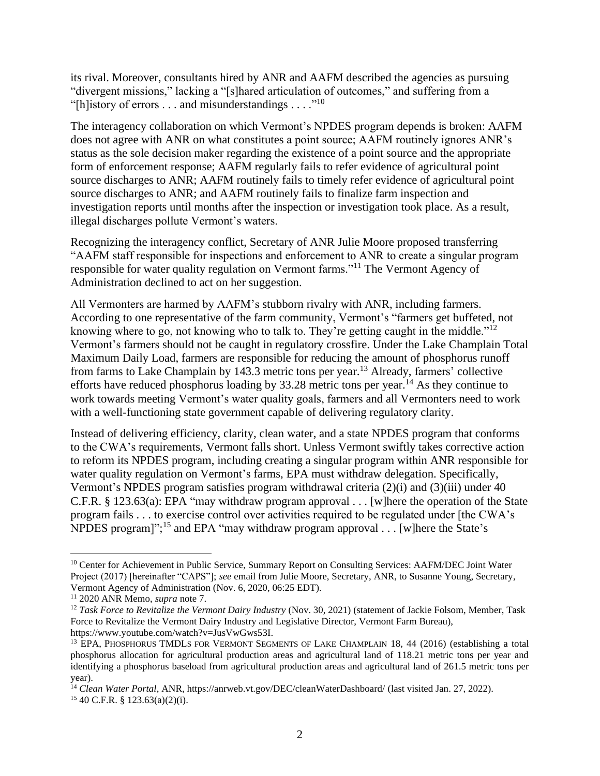its rival. Moreover, consultants hired by ANR and AAFM described the agencies as pursuing "divergent missions," lacking a "[s]hared articulation of outcomes," and suffering from a "[h]istory of errors . . . and misunderstandings . . . ."<sup>10</sup>

<span id="page-4-0"></span>The interagency collaboration on which Vermont's NPDES program depends is broken: AAFM does not agree with ANR on what constitutes a point source; AAFM routinely ignores ANR's status as the sole decision maker regarding the existence of a point source and the appropriate form of enforcement response; AAFM regularly fails to refer evidence of agricultural point source discharges to ANR; AAFM routinely fails to timely refer evidence of agricultural point source discharges to ANR; and AAFM routinely fails to finalize farm inspection and investigation reports until months after the inspection or investigation took place. As a result, illegal discharges pollute Vermont's waters.

Recognizing the interagency conflict, Secretary of ANR Julie Moore proposed transferring "AAFM staff responsible for inspections and enforcement to ANR to create a singular program responsible for water quality regulation on Vermont farms."<sup>11</sup> The Vermont Agency of Administration declined to act on her suggestion.

<span id="page-4-1"></span>All Vermonters are harmed by AAFM's stubborn rivalry with ANR, including farmers. According to one representative of the farm community, Vermont's "farmers get buffeted, not knowing where to go, not knowing who to talk to. They're getting caught in the middle."<sup>12</sup> Vermont's farmers should not be caught in regulatory crossfire. Under the Lake Champlain Total Maximum Daily Load, farmers are responsible for reducing the amount of phosphorus runoff from farms to Lake Champlain by 143.3 metric tons per year.<sup>13</sup> Already, farmers' collective efforts have reduced phosphorus loading by  $33.28$  metric tons per year.<sup>14</sup> As they continue to work towards meeting Vermont's water quality goals, farmers and all Vermonters need to work with a well-functioning state government capable of delivering regulatory clarity.

Instead of delivering efficiency, clarity, clean water, and a state NPDES program that conforms to the CWA's requirements, Vermont falls short. Unless Vermont swiftly takes corrective action to reform its NPDES program, including creating a singular program within ANR responsible for water quality regulation on Vermont's farms, EPA must withdraw delegation. Specifically, Vermont's NPDES program satisfies program withdrawal criteria (2)(i) and (3)(iii) under 40 C.F.R. § 123.63(a): EPA "may withdraw program approval . . . [w]here the operation of the State program fails . . . to exercise control over activities required to be regulated under [the CWA's NPDES program]";<sup>15</sup> and EPA "may withdraw program approval . . . [w]here the State's

<sup>&</sup>lt;sup>10</sup> Center for Achievement in Public Service, Summary Report on Consulting Services: AAFM/DEC Joint Water Project (2017) [hereinafter "CAPS"]; *see* email from Julie Moore, Secretary, ANR, to Susanne Young, Secretary, Vermont Agency of Administration (Nov. 6, 2020, 06:25 EDT).

<sup>11</sup> 2020 ANR Memo, *supra* note [7.](#page-3-2)

<sup>12</sup> *Task Force to Revitalize the Vermont Dairy Industry* (Nov. 30, 2021) (statement of Jackie Folsom, Member, Task Force to Revitalize the Vermont Dairy Industry and Legislative Director, Vermont Farm Bureau), https://www.youtube.com/watch?v=JusVwGws53I.

<sup>&</sup>lt;sup>13</sup> EPA, PHOSPHORUS TMDLS FOR VERMONT SEGMENTS OF LAKE CHAMPLAIN 18, 44 (2016) (establishing a total phosphorus allocation for agricultural production areas and agricultural land of 118.21 metric tons per year and identifying a phosphorus baseload from agricultural production areas and agricultural land of 261.5 metric tons per year).

<sup>14</sup> *Clean Water Portal*, ANR, https://anrweb.vt.gov/DEC/cleanWaterDashboard/ (last visited Jan. 27, 2022).  $15$  40 C.F.R. § 123.63(a)(2)(i).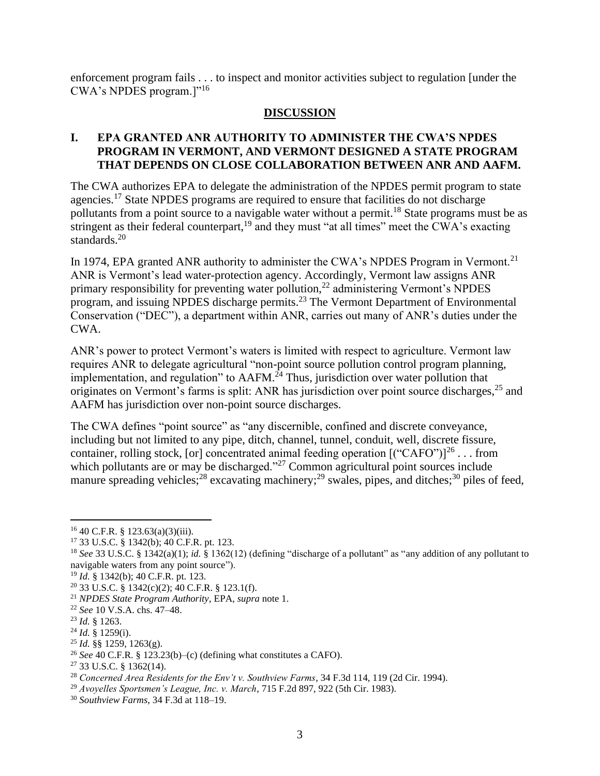enforcement program fails . . . to inspect and monitor activities subject to regulation [under the CWA's NPDES program.]"<sup>16</sup>

#### <span id="page-5-2"></span>**DISCUSSION**

#### <span id="page-5-1"></span><span id="page-5-0"></span>**I. EPA GRANTED ANR AUTHORITY TO ADMINISTER THE CWA'S NPDES PROGRAM IN VERMONT, AND VERMONT DESIGNED A STATE PROGRAM THAT DEPENDS ON CLOSE COLLABORATION BETWEEN ANR AND AAFM.**

The CWA authorizes EPA to delegate the administration of the NPDES permit program to state agencies.<sup>17</sup> State NPDES programs are required to ensure that facilities do not discharge pollutants from a point source to a navigable water without a permit.<sup>18</sup> State programs must be as stringent as their federal counterpart, $19$  and they must "at all times" meet the CWA's exacting standards. 20

In 1974, EPA granted ANR authority to administer the CWA's NPDES Program in Vermont.<sup>21</sup> ANR is Vermont's lead water-protection agency. Accordingly, Vermont law assigns ANR primary responsibility for preventing water pollution,<sup>22</sup> administering Vermont's NPDES program, and issuing NPDES discharge permits.<sup>23</sup> The Vermont Department of Environmental Conservation ("DEC"), a department within ANR, carries out many of ANR's duties under the CWA.

ANR's power to protect Vermont's waters is limited with respect to agriculture. Vermont law requires ANR to delegate agricultural "non-point source pollution control program planning, implementation, and regulation" to AAFM.<sup>24</sup> Thus, jurisdiction over water pollution that originates on Vermont's farms is split: ANR has jurisdiction over point source discharges,<sup>25</sup> and AAFM has jurisdiction over non-point source discharges.

<span id="page-5-3"></span>The CWA defines "point source" as "any discernible, confined and discrete conveyance, including but not limited to any pipe, ditch, channel, tunnel, conduit, well, discrete fissure, container, rolling stock, [or] concentrated animal feeding operation  $[$  ("CAFO") $]^{26}$ ... from which pollutants are or may be discharged."<sup>27</sup> Common agricultural point sources include manure spreading vehicles;<sup>28</sup> excavating machinery;<sup>29</sup> swales, pipes, and ditches;<sup>30</sup> piles of feed,

 $16$  40 C.F.R. § 123.63(a)(3)(iii).

<sup>17</sup> 33 U.S.C. § 1342(b); 40 C.F.R. pt. 123.

<sup>18</sup> *See* 33 U.S.C. § 1342(a)(1); *id.* § 1362(12) (defining "discharge of a pollutant" as "any addition of any pollutant to navigable waters from any point source").

<sup>19</sup> *Id.* § 1342(b); 40 C.F.R. pt. 123.

 $20$  33 U.S.C. § 1342(c)(2); 40 C.F.R. § 123.1(f).

<sup>21</sup> *NPDES State Program Authority*, EPA, *supra* note [1.](#page-3-3)

<sup>22</sup> *See* 10 V.S.A. chs. 47–48.

<sup>23</sup> *Id.* § 1263.

<sup>24</sup> *Id.* § 1259(i).

<sup>25</sup> *Id.* §§ 1259, 1263(g).

<sup>26</sup> *See* 40 C.F.R. § 123.23(b)–(c) (defining what constitutes a CAFO).

 $27$  33 U.S.C. § 1362(14).

<sup>28</sup> *Concerned Area Residents for the Env't v. Southview Farms*, 34 F.3d 114, 119 (2d Cir. 1994).

<sup>29</sup> *Avoyelles Sportsmen's League, Inc. v. March*, 715 F.2d 897, 922 (5th Cir. 1983).

<sup>30</sup> *Southview Farms*, 34 F.3d at 118–19.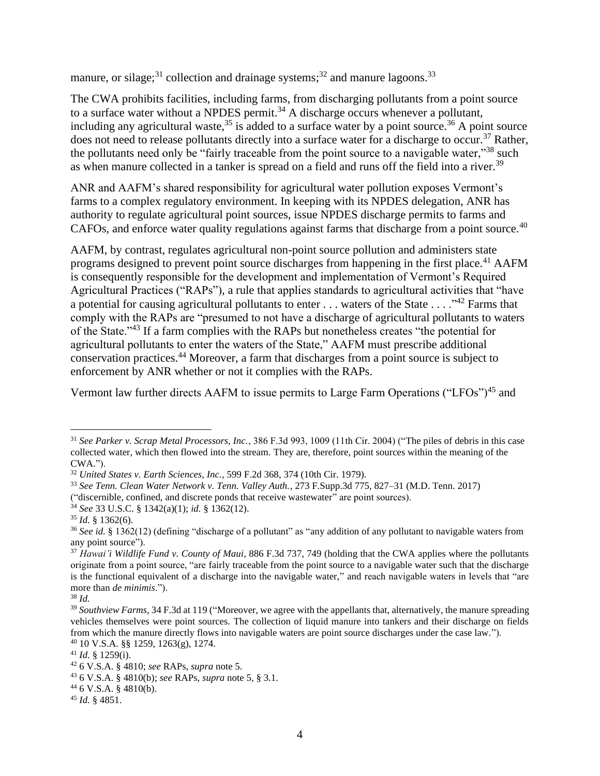manure, or silage;<sup>31</sup> collection and drainage systems;<sup>32</sup> and manure lagoons.<sup>33</sup>

The CWA prohibits facilities, including farms, from discharging pollutants from a point source to a surface water without a NPDES permit.<sup>34</sup> A discharge occurs whenever a pollutant, including any agricultural waste,<sup>35</sup> is added to a surface water by a point source.<sup>36</sup> A point source does not need to release pollutants directly into a surface water for a discharge to occur.<sup>37</sup> Rather, the pollutants need only be "fairly traceable from the point source to a navigable water,"<sup>38</sup> such as when manure collected in a tanker is spread on a field and runs off the field into a river.<sup>39</sup>

ANR and AAFM's shared responsibility for agricultural water pollution exposes Vermont's farms to a complex regulatory environment. In keeping with its NPDES delegation, ANR has authority to regulate agricultural point sources, issue NPDES discharge permits to farms and CAFOs, and enforce water quality regulations against farms that discharge from a point source.<sup>40</sup>

AAFM, by contrast, regulates agricultural non-point source pollution and administers state programs designed to prevent point source discharges from happening in the first place.<sup>41</sup> AAFM is consequently responsible for the development and implementation of Vermont's Required Agricultural Practices ("RAPs"), a rule that applies standards to agricultural activities that "have a potential for causing agricultural pollutants to enter  $\dots$  waters of the State  $\dots$ ."<sup>42</sup> Farms that comply with the RAPs are "presumed to not have a discharge of agricultural pollutants to waters of the State."<sup>43</sup> If a farm complies with the RAPs but nonetheless creates "the potential for agricultural pollutants to enter the waters of the State," AAFM must prescribe additional conservation practices.<sup>44</sup> Moreover, a farm that discharges from a point source is subject to enforcement by ANR whether or not it complies with the RAPs.

Vermont law further directs AAFM to issue permits to Large Farm Operations ("LFOs")<sup>45</sup> and

<sup>31</sup> *See Parker v. Scrap Metal Processors, Inc.*, 386 F.3d 993, 1009 (11th Cir. 2004) ("The piles of debris in this case collected water, which then flowed into the stream. They are, therefore, point sources within the meaning of the CWA.").

<sup>32</sup> *United States v. Earth Sciences, Inc.*, 599 F.2d 368, 374 (10th Cir. 1979).

<sup>33</sup> *See Tenn. Clean Water Network v. Tenn. Valley Auth.*, 273 F.Supp.3d 775, 827–31 (M.D. Tenn. 2017)

<sup>(&</sup>quot;discernible, confined, and discrete ponds that receive wastewater" are point sources).

<sup>34</sup> *See* 33 U.S.C. § 1342(a)(1); *id.* § 1362(12).

<sup>35</sup> *Id.* § 1362(6).

<sup>36</sup> *See id.* § 1362(12) (defining "discharge of a pollutant" as "any addition of any pollutant to navigable waters from any point source").

<sup>37</sup> *Hawai'i Wildlife Fund v. County of Maui*, 886 F.3d 737, 749 (holding that the CWA applies where the pollutants originate from a point source, "are fairly traceable from the point source to a navigable water such that the discharge is the functional equivalent of a discharge into the navigable water," and reach navigable waters in levels that "are more than *de minimis*.").

<sup>38</sup> *Id.*

<sup>&</sup>lt;sup>39</sup> Southview Farms, 34 F.3d at 119 ("Moreover, we agree with the appellants that, alternatively, the manure spreading vehicles themselves were point sources. The collection of liquid manure into tankers and their discharge on fields from which the manure directly flows into navigable waters are point source discharges under the case law.").

<sup>40</sup> 10 V.S.A. §§ 1259, 1263(g), 1274.

 $41$  *Id.* § 1259(i).

<sup>42</sup> 6 V.S.A. § 4810; *see* RAPs, *supra* note [5.](#page-3-1)

<sup>43</sup> 6 V.S.A. § 4810(b); *see* RAPs, *supra* not[e 5,](#page-3-1) § 3.1.

 $446$  V.S.A. § 4810(b).

<sup>45</sup> *Id.* § 4851.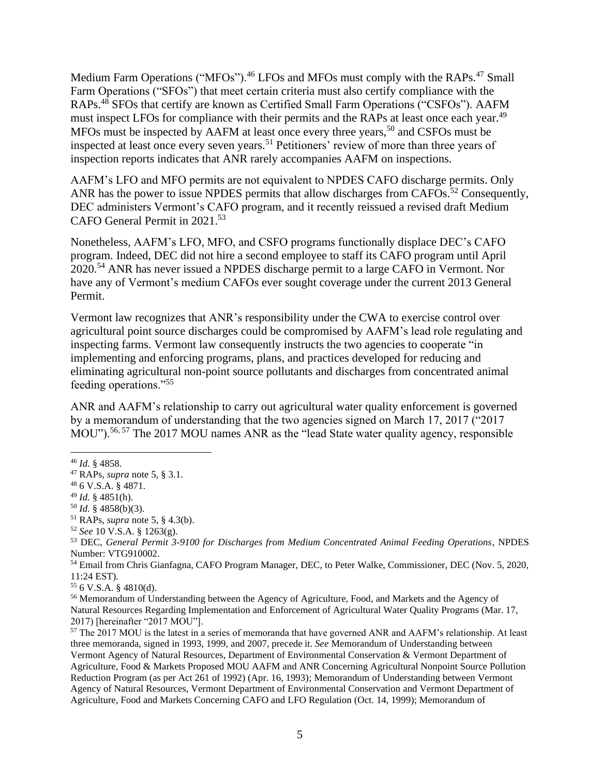Medium Farm Operations ("MFOs").<sup>46</sup> LFOs and MFOs must comply with the RAPs.<sup>47</sup> Small Farm Operations ("SFOs") that meet certain criteria must also certify compliance with the RAPs.<sup>48</sup> SFOs that certify are known as Certified Small Farm Operations ("CSFOs"). AAFM must inspect LFOs for compliance with their permits and the RAPs at least once each year.<sup>49</sup> MFOs must be inspected by AAFM at least once every three years,<sup>50</sup> and CSFOs must be inspected at least once every seven years. <sup>51</sup> Petitioners' review of more than three years of inspection reports indicates that ANR rarely accompanies AAFM on inspections.

AAFM's LFO and MFO permits are not equivalent to NPDES CAFO discharge permits. Only ANR has the power to issue NPDES permits that allow discharges from CAFOs.<sup>52</sup> Consequently, DEC administers Vermont's CAFO program, and it recently reissued a revised draft Medium CAFO General Permit in 2021. 53

Nonetheless, AAFM's LFO, MFO, and CSFO programs functionally displace DEC's CAFO program. Indeed, DEC did not hire a second employee to staff its CAFO program until April 2020.<sup>54</sup> ANR has never issued a NPDES discharge permit to a large CAFO in Vermont. Nor have any of Vermont's medium CAFOs ever sought coverage under the current 2013 General Permit.

Vermont law recognizes that ANR's responsibility under the CWA to exercise control over agricultural point source discharges could be compromised by AAFM's lead role regulating and inspecting farms. Vermont law consequently instructs the two agencies to cooperate "in implementing and enforcing programs, plans, and practices developed for reducing and eliminating agricultural non-point source pollutants and discharges from concentrated animal feeding operations."<sup>55</sup>

<span id="page-7-0"></span>ANR and AAFM's relationship to carry out agricultural water quality enforcement is governed by a memorandum of understanding that the two agencies signed on March 17, 2017 ("2017 MOU").<sup>56, 57</sup> The 2017 MOU names ANR as the "lead State water quality agency, responsible

<sup>53</sup> DEC, *General Permit 3-9100 for Discharges from Medium Concentrated Animal Feeding Operations*, NPDES Number: VTG910002.

<sup>54</sup> Email from Chris Gianfagna, CAFO Program Manager, DEC, to Peter Walke, Commissioner, DEC (Nov. 5, 2020, 11:24 EST).

<sup>55</sup> 6 V.S.A. § 4810(d).

<sup>56</sup> Memorandum of Understanding between the Agency of Agriculture, Food, and Markets and the Agency of Natural Resources Regarding Implementation and Enforcement of Agricultural Water Quality Programs (Mar. 17, 2017) [hereinafter "2017 MOU"].

<sup>57</sup> The 2017 MOU is the latest in a series of memoranda that have governed ANR and AAFM's relationship. At least three memoranda, signed in 1993, 1999, and 2007, precede it. *See* Memorandum of Understanding between Vermont Agency of Natural Resources, Department of Environmental Conservation & Vermont Department of Agriculture, Food & Markets Proposed MOU AAFM and ANR Concerning Agricultural Nonpoint Source Pollution Reduction Program (as per Act 261 of 1992) (Apr. 16, 1993); Memorandum of Understanding between Vermont Agency of Natural Resources, Vermont Department of Environmental Conservation and Vermont Department of Agriculture, Food and Markets Concerning CAFO and LFO Regulation (Oct. 14, 1999); Memorandum of

<sup>46</sup> *Id.* § 4858.

<sup>47</sup> RAPs, *supra* note [5,](#page-3-1) § 3.1.

<sup>48</sup> 6 V.S.A. § 4871.

 $49$  *Id.* § 4851(h).

<sup>50</sup> *Id.* § 4858(b)(3).

<sup>51</sup> RAPs, *supra* note [5,](#page-3-1) § 4.3(b).

<sup>52</sup> *See* 10 V.S.A. § 1263(g).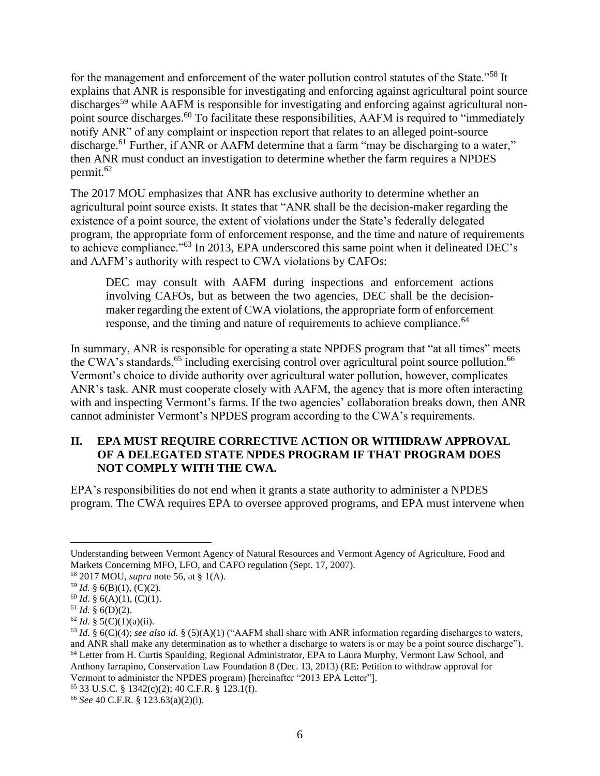for the management and enforcement of the water pollution control statutes of the State."<sup>58</sup> It explains that ANR is responsible for investigating and enforcing against agricultural point source discharges<sup>59</sup> while AAFM is responsible for investigating and enforcing against agricultural nonpoint source discharges.<sup>60</sup> To facilitate these responsibilities, AAFM is required to "immediately notify ANR" of any complaint or inspection report that relates to an alleged point-source discharge.<sup>61</sup> Further, if ANR or AAFM determine that a farm "may be discharging to a water," then ANR must conduct an investigation to determine whether the farm requires a NPDES permit.<sup>62</sup>

The 2017 MOU emphasizes that ANR has exclusive authority to determine whether an agricultural point source exists. It states that "ANR shall be the decision-maker regarding the existence of a point source, the extent of violations under the State's federally delegated program, the appropriate form of enforcement response, and the time and nature of requirements to achieve compliance."<sup>63</sup> In 2013, EPA underscored this same point when it delineated DEC's and AAFM's authority with respect to CWA violations by CAFOs:

<span id="page-8-1"></span>DEC may consult with AAFM during inspections and enforcement actions involving CAFOs, but as between the two agencies, DEC shall be the decisionmaker regarding the extent of CWA violations, the appropriate form of enforcement response, and the timing and nature of requirements to achieve compliance.<sup>64</sup>

In summary, ANR is responsible for operating a state NPDES program that "at all times" meets the CWA's standards,<sup>65</sup> including exercising control over agricultural point source pollution.<sup>66</sup> Vermont's choice to divide authority over agricultural water pollution, however, complicates ANR's task. ANR must cooperate closely with AAFM, the agency that is more often interacting with and inspecting Vermont's farms. If the two agencies' collaboration breaks down, then ANR cannot administer Vermont's NPDES program according to the CWA's requirements.

### <span id="page-8-0"></span>**II. EPA MUST REQUIRE CORRECTIVE ACTION OR WITHDRAW APPROVAL OF A DELEGATED STATE NPDES PROGRAM IF THAT PROGRAM DOES NOT COMPLY WITH THE CWA.**

EPA's responsibilities do not end when it grants a state authority to administer a NPDES program. The CWA requires EPA to oversee approved programs, and EPA must intervene when

Understanding between Vermont Agency of Natural Resources and Vermont Agency of Agriculture, Food and Markets Concerning MFO, LFO, and CAFO regulation (Sept. 17, 2007).

<sup>58</sup> 2017 MOU, *supra* note [56,](#page-7-0) at § 1(A).

<sup>59</sup> *Id.* § 6(B)(1), (C)(2).

 $60$  *Id.* § 6(A)(1), (C)(1).

<sup>61</sup> *Id.* § 6(D)(2).

 $62$  *Id.* § 5(C)(1)(a)(ii).

 $^{63}$  *Id.* § 6(C)(4); *see also id.* § (5)(A)(1) ("AAFM shall share with ANR information regarding discharges to waters, and ANR shall make any determination as to whether a discharge to waters is or may be a point source discharge"). <sup>64</sup> Letter from H. Curtis Spaulding, Regional Administrator, EPA to Laura Murphy, Vermont Law School, and Anthony Iarrapino, Conservation Law Foundation 8 (Dec. 13, 2013) (RE: Petition to withdraw approval for Vermont to administer the NPDES program) [hereinafter "2013 EPA Letter"].

<sup>65</sup> 33 U.S.C. § 1342(c)(2); 40 C.F.R. § 123.1(f).

<sup>66</sup> *See* 40 C.F.R. § 123.63(a)(2)(i).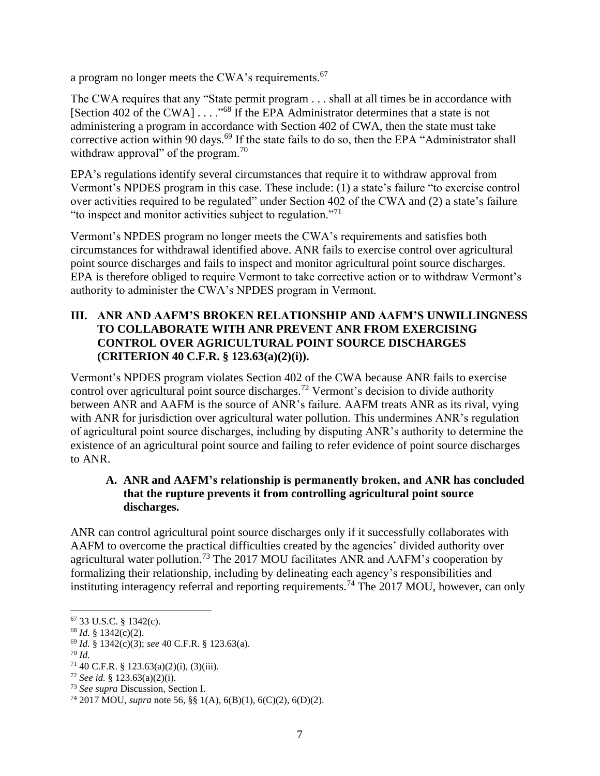a program no longer meets the CWA's requirements.<sup>67</sup>

The CWA requires that any "State permit program . . . shall at all times be in accordance with [Section 402 of the CWA] . . . ."<sup>68</sup> If the EPA Administrator determines that a state is not administering a program in accordance with Section 402 of CWA, then the state must take corrective action within 90 days.<sup>69</sup> If the state fails to do so, then the EPA "Administrator shall withdraw approval" of the program. $^{70}$ 

EPA's regulations identify several circumstances that require it to withdraw approval from Vermont's NPDES program in this case. These include: (1) a state's failure "to exercise control over activities required to be regulated" under Section 402 of the CWA and (2) a state's failure "to inspect and monitor activities subject to regulation."<sup>71</sup>

Vermont's NPDES program no longer meets the CWA's requirements and satisfies both circumstances for withdrawal identified above. ANR fails to exercise control over agricultural point source discharges and fails to inspect and monitor agricultural point source discharges. EPA is therefore obliged to require Vermont to take corrective action or to withdraw Vermont's authority to administer the CWA's NPDES program in Vermont.

## <span id="page-9-0"></span>**III. ANR AND AAFM'S BROKEN RELATIONSHIP AND AAFM'S UNWILLINGNESS TO COLLABORATE WITH ANR PREVENT ANR FROM EXERCISING CONTROL OVER AGRICULTURAL POINT SOURCE DISCHARGES (CRITERION 40 C.F.R. § 123.63(a)(2)(i)).**

Vermont's NPDES program violates Section 402 of the CWA because ANR fails to exercise control over agricultural point source discharges.<sup>72</sup> Vermont's decision to divide authority between ANR and AAFM is the source of ANR's failure. AAFM treats ANR as its rival, vying with ANR for jurisdiction over agricultural water pollution. This undermines ANR's regulation of agricultural point source discharges, including by disputing ANR's authority to determine the existence of an agricultural point source and failing to refer evidence of point source discharges to ANR.

## <span id="page-9-1"></span>**A. ANR and AAFM's relationship is permanently broken, and ANR has concluded that the rupture prevents it from controlling agricultural point source discharges.**

ANR can control agricultural point source discharges only if it successfully collaborates with AAFM to overcome the practical difficulties created by the agencies' divided authority over agricultural water pollution.<sup>73</sup> The 2017 MOU facilitates ANR and AAFM's cooperation by formalizing their relationship, including by delineating each agency's responsibilities and instituting interagency referral and reporting requirements.<sup>74</sup> The 2017 MOU, however, can only

<sup>67</sup> 33 U.S.C. § 1342(c).

<sup>68</sup> *Id.* § 1342(c)(2).

<sup>69</sup> *Id.* § 1342(c)(3); *see* 40 C.F.R. § 123.63(a).

<sup>70</sup> *Id.*

 $71\,40$  C.F.R. § 123.63(a)(2)(i), (3)(iii).

<sup>72</sup> *See id.* § 123.63(a)(2)(i).

<sup>73</sup> *See supra* Discussion, Section I.

<sup>74</sup> 2017 MOU, *supra* note [56,](#page-7-0) §§ 1(A), 6(B)(1), 6(C)(2), 6(D)(2).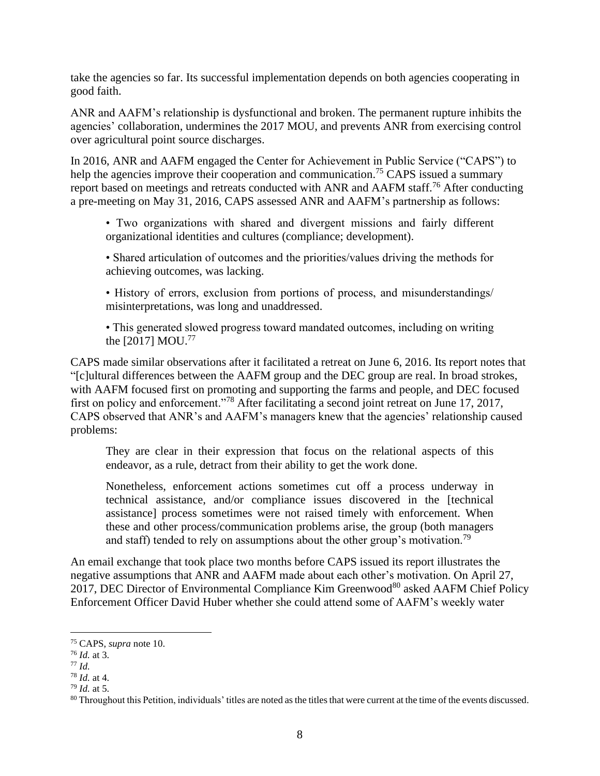take the agencies so far. Its successful implementation depends on both agencies cooperating in good faith.

ANR and AAFM's relationship is dysfunctional and broken. The permanent rupture inhibits the agencies' collaboration, undermines the 2017 MOU, and prevents ANR from exercising control over agricultural point source discharges.

In 2016, ANR and AAFM engaged the Center for Achievement in Public Service ("CAPS") to help the agencies improve their cooperation and communication.<sup>75</sup> CAPS issued a summary report based on meetings and retreats conducted with ANR and AAFM staff.<sup>76</sup> After conducting a pre-meeting on May 31, 2016, CAPS assessed ANR and AAFM's partnership as follows:

- Two organizations with shared and divergent missions and fairly different organizational identities and cultures (compliance; development).
- Shared articulation of outcomes and the priorities/values driving the methods for achieving outcomes, was lacking.
- History of errors, exclusion from portions of process, and misunderstandings/ misinterpretations, was long and unaddressed.

• This generated slowed progress toward mandated outcomes, including on writing the [2017] MOU.<sup>77</sup>

CAPS made similar observations after it facilitated a retreat on June 6, 2016. Its report notes that "[c]ultural differences between the AAFM group and the DEC group are real. In broad strokes, with AAFM focused first on promoting and supporting the farms and people, and DEC focused first on policy and enforcement."<sup>78</sup> After facilitating a second joint retreat on June 17, 2017, CAPS observed that ANR's and AAFM's managers knew that the agencies' relationship caused problems:

They are clear in their expression that focus on the relational aspects of this endeavor, as a rule, detract from their ability to get the work done.

Nonetheless, enforcement actions sometimes cut off a process underway in technical assistance, and/or compliance issues discovered in the [technical assistance] process sometimes were not raised timely with enforcement. When these and other process/communication problems arise, the group (both managers and staff) tended to rely on assumptions about the other group's motivation.<sup>79</sup>

An email exchange that took place two months before CAPS issued its report illustrates the negative assumptions that ANR and AAFM made about each other's motivation. On April 27, 2017, DEC Director of Environmental Compliance Kim Greenwood<sup>80</sup> asked AAFM Chief Policy Enforcement Officer David Huber whether she could attend some of AAFM's weekly water

<sup>75</sup> CAPS, *supra* note [10.](#page-4-0)

<sup>76</sup> *Id.* at 3.

<sup>77</sup> *Id.*

<sup>78</sup> *Id.* at 4.

<sup>79</sup> *Id.* at 5.

<sup>&</sup>lt;sup>80</sup> Throughout this Petition, individuals' titles are noted as the titles that were current at the time of the events discussed.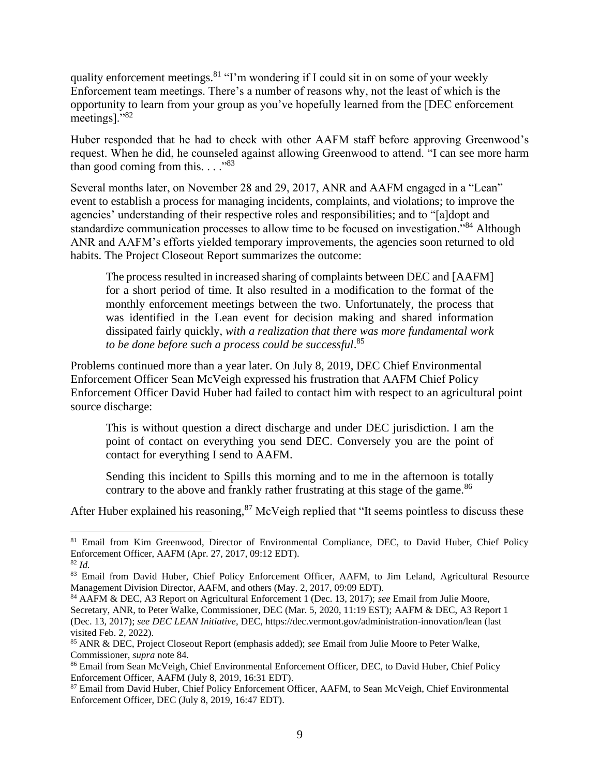quality enforcement meetings.  $81$  "I'm wondering if I could sit in on some of your weekly Enforcement team meetings. There's a number of reasons why, not the least of which is the opportunity to learn from your group as you've hopefully learned from the [DEC enforcement meetings]."<sup>82</sup>

Huber responded that he had to check with other AAFM staff before approving Greenwood's request. When he did, he counseled against allowing Greenwood to attend. "I can see more harm than good coming from this.  $\ldots$ <sup>83</sup>

Several months later, on November 28 and 29, 2017, ANR and AAFM engaged in a "Lean" event to establish a process for managing incidents, complaints, and violations; to improve the agencies' understanding of their respective roles and responsibilities; and to "[a]dopt and standardize communication processes to allow time to be focused on investigation."<sup>84</sup> Although ANR and AAFM's efforts yielded temporary improvements, the agencies soon returned to old habits. The Project Closeout Report summarizes the outcome:

<span id="page-11-0"></span>The process resulted in increased sharing of complaints between DEC and [AAFM] for a short period of time. It also resulted in a modification to the format of the monthly enforcement meetings between the two. Unfortunately, the process that was identified in the Lean event for decision making and shared information dissipated fairly quickly, *with a realization that there was more fundamental work to be done before such a process could be successful*. 85

Problems continued more than a year later. On July 8, 2019, DEC Chief Environmental Enforcement Officer Sean McVeigh expressed his frustration that AAFM Chief Policy Enforcement Officer David Huber had failed to contact him with respect to an agricultural point source discharge:

This is without question a direct discharge and under DEC jurisdiction. I am the point of contact on everything you send DEC. Conversely you are the point of contact for everything I send to AAFM.

Sending this incident to Spills this morning and to me in the afternoon is totally contrary to the above and frankly rather frustrating at this stage of the game.<sup>86</sup>

After Huber explained his reasoning, $87$  McVeigh replied that "It seems pointless to discuss these

<sup>&</sup>lt;sup>81</sup> Email from Kim Greenwood, Director of Environmental Compliance, DEC, to David Huber, Chief Policy Enforcement Officer, AAFM (Apr. 27, 2017, 09:12 EDT).

<sup>82</sup> *Id.*

<sup>83</sup> Email from David Huber, Chief Policy Enforcement Officer, AAFM, to Jim Leland, Agricultural Resource Management Division Director, AAFM, and others (May. 2, 2017, 09:09 EDT).

<sup>84</sup> AAFM & DEC, A3 Report on Agricultural Enforcement 1 (Dec. 13, 2017); *see* Email from Julie Moore, Secretary, ANR, to Peter Walke, Commissioner, DEC (Mar. 5, 2020, 11:19 EST); AAFM & DEC, A3 Report 1 (Dec. 13, 2017); *see DEC LEAN Initiative*, DEC, https://dec.vermont.gov/administration-innovation/lean (last visited Feb. 2, 2022).

<sup>85</sup> ANR & DEC, Project Closeout Report (emphasis added); *see* Email from Julie Moore to Peter Walke, Commissioner, *supra* note [84.](#page-11-0)

<sup>86</sup> Email from Sean McVeigh, Chief Environmental Enforcement Officer, DEC, to David Huber, Chief Policy Enforcement Officer, AAFM (July 8, 2019, 16:31 EDT).

<sup>&</sup>lt;sup>87</sup> Email from David Huber, Chief Policy Enforcement Officer, AAFM, to Sean McVeigh, Chief Environmental Enforcement Officer, DEC (July 8, 2019, 16:47 EDT).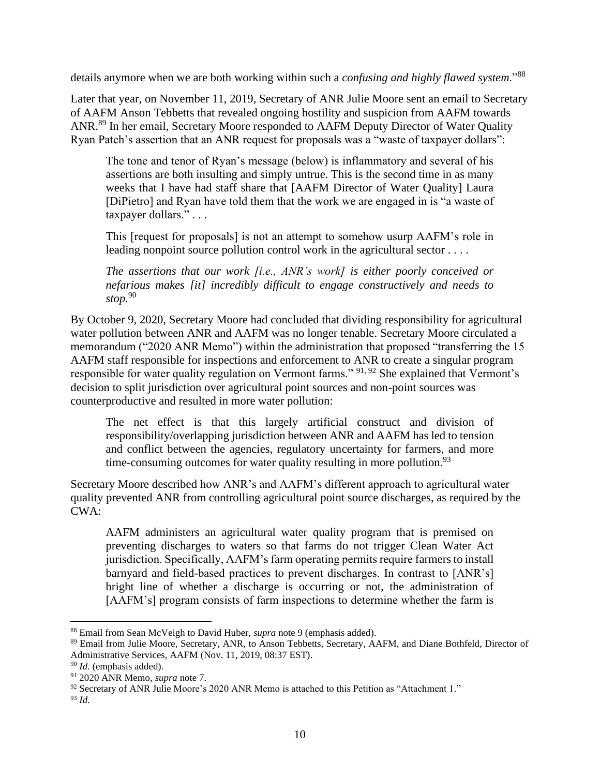details anymore when we are both working within such a *confusing and highly flawed system*."<sup>88</sup>

Later that year, on November 11, 2019, Secretary of ANR Julie Moore sent an email to Secretary of AAFM Anson Tebbetts that revealed ongoing hostility and suspicion from AAFM towards ANR.<sup>89</sup> In her email, Secretary Moore responded to AAFM Deputy Director of Water Quality Ryan Patch's assertion that an ANR request for proposals was a "waste of taxpayer dollars":

The tone and tenor of Ryan's message (below) is inflammatory and several of his assertions are both insulting and simply untrue. This is the second time in as many weeks that I have had staff share that [AAFM Director of Water Quality] Laura [DiPietro] and Ryan have told them that the work we are engaged in is "a waste of taxpayer dollars." . . .

This [request for proposals] is not an attempt to somehow usurp AAFM's role in leading nonpoint source pollution control work in the agricultural sector . . . .

*The assertions that our work [i.e., ANR's work] is either poorly conceived or nefarious makes [it] incredibly difficult to engage constructively and needs to stop.*<sup>90</sup>

By October 9, 2020, Secretary Moore had concluded that dividing responsibility for agricultural water pollution between ANR and AAFM was no longer tenable. Secretary Moore circulated a memorandum ("2020 ANR Memo") within the administration that proposed "transferring the 15 AAFM staff responsible for inspections and enforcement to ANR to create a singular program responsible for water quality regulation on Vermont farms." 91, 92 She explained that Vermont's decision to split jurisdiction over agricultural point sources and non-point sources was counterproductive and resulted in more water pollution:

The net effect is that this largely artificial construct and division of responsibility/overlapping jurisdiction between ANR and AAFM has led to tension and conflict between the agencies, regulatory uncertainty for farmers, and more time-consuming outcomes for water quality resulting in more pollution. $93$ 

Secretary Moore described how ANR's and AAFM's different approach to agricultural water quality prevented ANR from controlling agricultural point source discharges, as required by the CWA:

AAFM administers an agricultural water quality program that is premised on preventing discharges to waters so that farms do not trigger Clean Water Act jurisdiction. Specifically, AAFM's farm operating permits require farmers to install barnyard and field-based practices to prevent discharges. In contrast to [ANR's] bright line of whether a discharge is occurring or not, the administration of [AAFM's] program consists of farm inspections to determine whether the farm is

<sup>88</sup> Email from Sean McVeigh to David Huber, *supra* not[e 9](#page-3-4) (emphasis added).

<sup>89</sup> Email from Julie Moore, Secretary, ANR, to Anson Tebbetts, Secretary, AAFM, and Diane Bothfeld, Director of Administrative Services, AAFM (Nov. 11, 2019, 08:37 EST).

<sup>90</sup> *Id.* (emphasis added).

<sup>91</sup> 2020 ANR Memo, *supra* note [7.](#page-3-2)

<sup>92</sup> Secretary of ANR Julie Moore's 2020 ANR Memo is attached to this Petition as "Attachment 1."

<sup>93</sup> *Id.*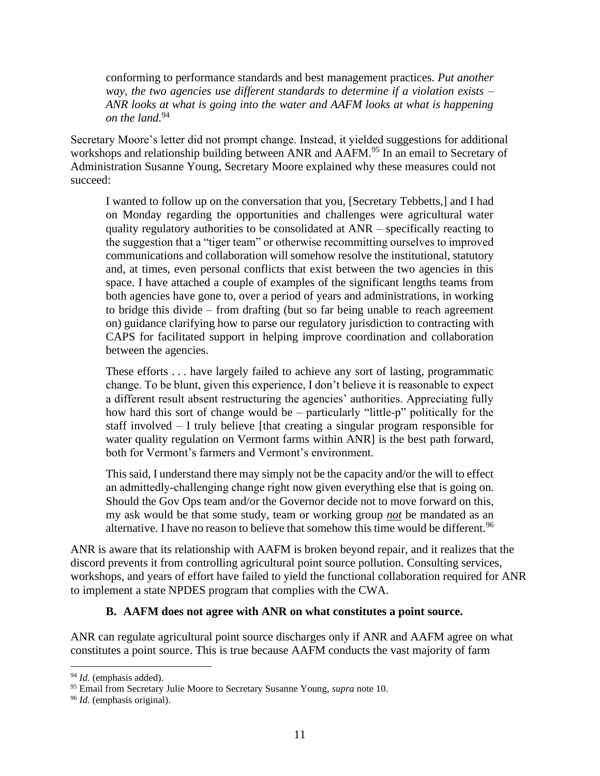conforming to performance standards and best management practices*. Put another way, the two agencies use different standards to determine if a violation exists – ANR looks at what is going into the water and AAFM looks at what is happening on the land.*<sup>94</sup>

Secretary Moore's letter did not prompt change. Instead, it yielded suggestions for additional workshops and relationship building between ANR and AAFM.<sup>95</sup> In an email to Secretary of Administration Susanne Young, Secretary Moore explained why these measures could not succeed:

I wanted to follow up on the conversation that you, [Secretary Tebbetts,] and I had on Monday regarding the opportunities and challenges were agricultural water quality regulatory authorities to be consolidated at ANR – specifically reacting to the suggestion that a "tiger team" or otherwise recommitting ourselves to improved communications and collaboration will somehow resolve the institutional, statutory and, at times, even personal conflicts that exist between the two agencies in this space. I have attached a couple of examples of the significant lengths teams from both agencies have gone to, over a period of years and administrations, in working to bridge this divide – from drafting (but so far being unable to reach agreement on) guidance clarifying how to parse our regulatory jurisdiction to contracting with CAPS for facilitated support in helping improve coordination and collaboration between the agencies.

These efforts . . . have largely failed to achieve any sort of lasting, programmatic change. To be blunt, given this experience, I don't believe it is reasonable to expect a different result absent restructuring the agencies' authorities. Appreciating fully how hard this sort of change would be – particularly "little-p" politically for the staff involved – I truly believe [that creating a singular program responsible for water quality regulation on Vermont farms within ANR] is the best path forward, both for Vermont's farmers and Vermont's environment.

This said, I understand there may simply not be the capacity and/or the will to effect an admittedly‐challenging change right now given everything else that is going on. Should the Gov Ops team and/or the Governor decide not to move forward on this, my ask would be that some study, team or working group *not* be mandated as an alternative. I have no reason to believe that somehow this time would be different.<sup>96</sup>

ANR is aware that its relationship with AAFM is broken beyond repair, and it realizes that the discord prevents it from controlling agricultural point source pollution. Consulting services, workshops, and years of effort have failed to yield the functional collaboration required for ANR to implement a state NPDES program that complies with the CWA.

#### **B. AAFM does not agree with ANR on what constitutes a point source.**

<span id="page-13-0"></span>ANR can regulate agricultural point source discharges only if ANR and AAFM agree on what constitutes a point source. This is true because AAFM conducts the vast majority of farm

<sup>94</sup> *Id.* (emphasis added).

<sup>95</sup> Email from Secretary Julie Moore to Secretary Susanne Young, *supra* not[e 10.](#page-4-0)

<sup>96</sup> *Id.* (emphasis original).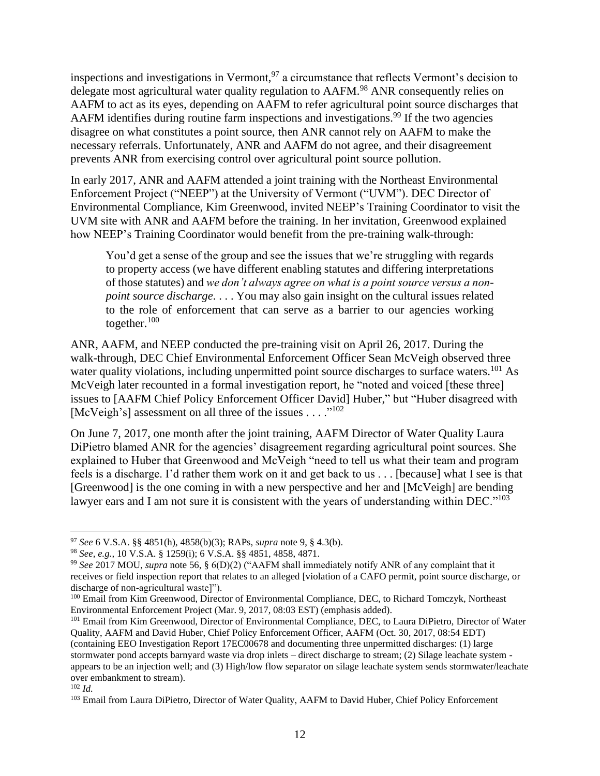inspections and investigations in Vermont,  $97$  a circumstance that reflects Vermont's decision to delegate most agricultural water quality regulation to AAFM.<sup>98</sup> ANR consequently relies on AAFM to act as its eyes, depending on AAFM to refer agricultural point source discharges that AAFM identifies during routine farm inspections and investigations.<sup>99</sup> If the two agencies disagree on what constitutes a point source, then ANR cannot rely on AAFM to make the necessary referrals. Unfortunately, ANR and AAFM do not agree, and their disagreement prevents ANR from exercising control over agricultural point source pollution.

In early 2017, ANR and AAFM attended a joint training with the Northeast Environmental Enforcement Project ("NEEP") at the University of Vermont ("UVM"). DEC Director of Environmental Compliance, Kim Greenwood, invited NEEP's Training Coordinator to visit the UVM site with ANR and AAFM before the training. In her invitation, Greenwood explained how NEEP's Training Coordinator would benefit from the pre-training walk-through:

You'd get a sense of the group and see the issues that we're struggling with regards to property access (we have different enabling statutes and differing interpretations of those statutes) and *we don't always agree on what is a point source versus a nonpoint source discharge*. . . . You may also gain insight on the cultural issues related to the role of enforcement that can serve as a barrier to our agencies working together. $100$ 

ANR, AAFM, and NEEP conducted the pre-training visit on April 26, 2017. During the walk-through, DEC Chief Environmental Enforcement Officer Sean McVeigh observed three water quality violations, including unpermitted point source discharges to surface waters.<sup>101</sup> As McVeigh later recounted in a formal investigation report, he "noted and voiced [these three] issues to [AAFM Chief Policy Enforcement Officer David] Huber," but "Huber disagreed with [McVeigh's] assessment on all three of the issues . . . ."<sup>102</sup>

On June 7, 2017, one month after the joint training, AAFM Director of Water Quality Laura DiPietro blamed ANR for the agencies' disagreement regarding agricultural point sources. She explained to Huber that Greenwood and McVeigh "need to tell us what their team and program feels is a discharge. I'd rather them work on it and get back to us . . . [because] what I see is that [Greenwood] is the one coming in with a new perspective and her and [McVeigh] are bending lawyer ears and I am not sure it is consistent with the years of understanding within DEC."<sup>103</sup>

<sup>97</sup> *See* 6 V.S.A. §§ 4851(h), 4858(b)(3); RAPs, *supra* note 9, § 4.3(b).

<sup>98</sup> *See, e.g.,* 10 V.S.A. § 1259(i); 6 V.S.A. §§ 4851, 4858, 4871.

<sup>99</sup> *See* 2017 MOU, *supra* note [56,](#page-7-0) § 6(D)(2) ("AAFM shall immediately notify ANR of any complaint that it receives or field inspection report that relates to an alleged [violation of a CAFO permit, point source discharge, or discharge of non-agricultural waste]").

<sup>&</sup>lt;sup>100</sup> Email from Kim Greenwood, Director of Environmental Compliance, DEC, to Richard Tomczyk, Northeast Environmental Enforcement Project (Mar. 9, 2017, 08:03 EST) (emphasis added).

<sup>101</sup> Email from Kim Greenwood, Director of Environmental Compliance, DEC, to Laura DiPietro, Director of Water Quality, AAFM and David Huber, Chief Policy Enforcement Officer, AAFM (Oct. 30, 2017, 08:54 EDT) (containing EEO Investigation Report 17EC00678 and documenting three unpermitted discharges: (1) large stormwater pond accepts barnyard waste via drop inlets – direct discharge to stream; (2) Silage leachate system appears to be an injection well; and (3) High/low flow separator on silage leachate system sends stormwater/leachate over embankment to stream).

<sup>102</sup> *Id.*

<sup>&</sup>lt;sup>103</sup> Email from Laura DiPietro, Director of Water Quality, AAFM to David Huber, Chief Policy Enforcement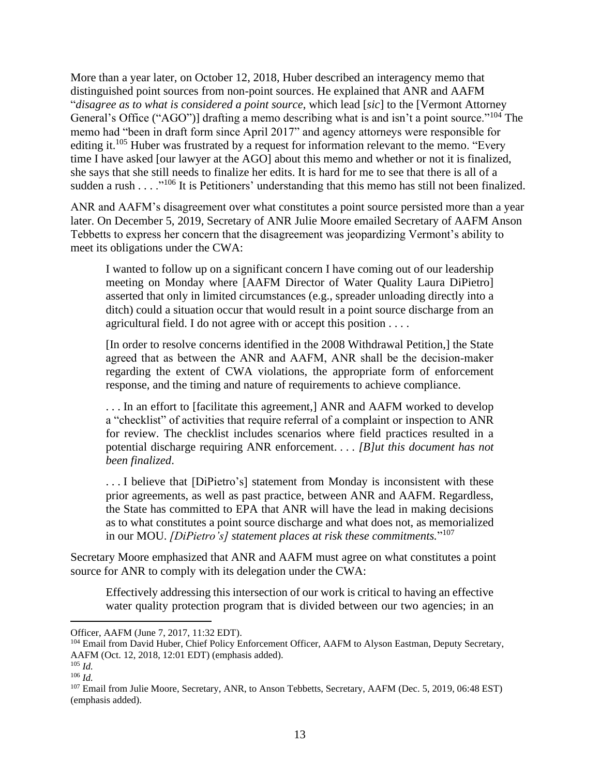More than a year later, on October 12, 2018, Huber described an interagency memo that distinguished point sources from non-point sources. He explained that ANR and AAFM "*disagree as to what is considered a point source*, which lead [*sic*] to the [Vermont Attorney General's Office ("AGO")] drafting a memo describing what is and isn't a point source."<sup>104</sup> The memo had "been in draft form since April 2017" and agency attorneys were responsible for editing it.<sup>105</sup> Huber was frustrated by a request for information relevant to the memo. "Every time I have asked [our lawyer at the AGO] about this memo and whether or not it is finalized, she says that she still needs to finalize her edits. It is hard for me to see that there is all of a sudden a rush . . . .<sup>"106</sup> It is Petitioners' understanding that this memo has still not been finalized.

ANR and AAFM's disagreement over what constitutes a point source persisted more than a year later. On December 5, 2019, Secretary of ANR Julie Moore emailed Secretary of AAFM Anson Tebbetts to express her concern that the disagreement was jeopardizing Vermont's ability to meet its obligations under the CWA:

I wanted to follow up on a significant concern I have coming out of our leadership meeting on Monday where [AAFM Director of Water Quality Laura DiPietro] asserted that only in limited circumstances (e.g., spreader unloading directly into a ditch) could a situation occur that would result in a point source discharge from an agricultural field. I do not agree with or accept this position . . . .

[In order to resolve concerns identified in the 2008 Withdrawal Petition,] the State agreed that as between the ANR and AAFM, ANR shall be the decision‐maker regarding the extent of CWA violations, the appropriate form of enforcement response, and the timing and nature of requirements to achieve compliance.

. . . In an effort to [facilitate this agreement,] ANR and AAFM worked to develop a "checklist" of activities that require referral of a complaint or inspection to ANR for review. The checklist includes scenarios where field practices resulted in a potential discharge requiring ANR enforcement. . . . *[B]ut this document has not been finalized*.

. . . I believe that [DiPietro's] statement from Monday is inconsistent with these prior agreements, as well as past practice, between ANR and AAFM. Regardless, the State has committed to EPA that ANR will have the lead in making decisions as to what constitutes a point source discharge and what does not, as memorialized in our MOU. *[DiPietro's] statement places at risk these commitments.*" 107

Secretary Moore emphasized that ANR and AAFM must agree on what constitutes a point source for ANR to comply with its delegation under the CWA:

Effectively addressing this intersection of our work is critical to having an effective water quality protection program that is divided between our two agencies; in an

Officer, AAFM (June 7, 2017, 11:32 EDT).

<sup>&</sup>lt;sup>104</sup> Email from David Huber, Chief Policy Enforcement Officer, AAFM to Alyson Eastman, Deputy Secretary, AAFM (Oct. 12, 2018, 12:01 EDT) (emphasis added).

<sup>105</sup> *Id.*

<sup>106</sup> *Id.*

<sup>&</sup>lt;sup>107</sup> Email from Julie Moore, Secretary, ANR, to Anson Tebbetts, Secretary, AAFM (Dec. 5, 2019, 06:48 EST) (emphasis added).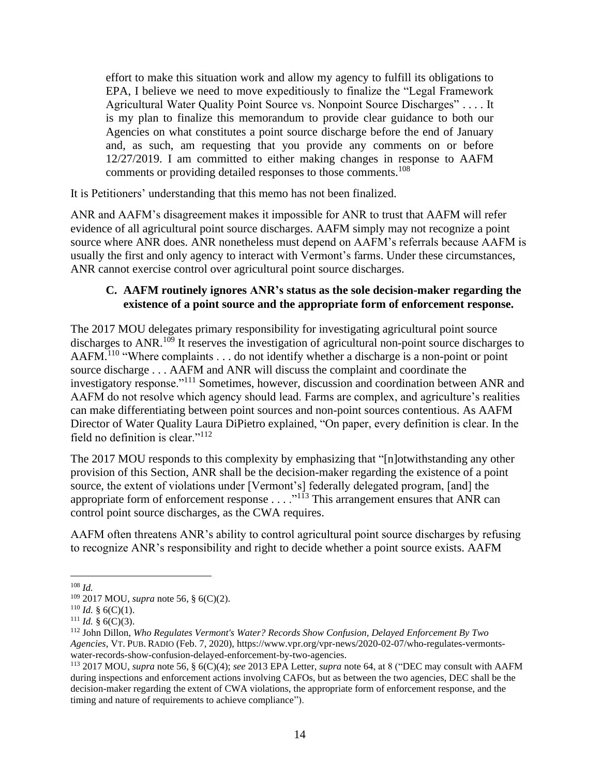effort to make this situation work and allow my agency to fulfill its obligations to EPA, I believe we need to move expeditiously to finalize the "Legal Framework Agricultural Water Quality Point Source vs. Nonpoint Source Discharges" . . . . It is my plan to finalize this memorandum to provide clear guidance to both our Agencies on what constitutes a point source discharge before the end of January and, as such, am requesting that you provide any comments on or before 12/27/2019. I am committed to either making changes in response to AAFM comments or providing detailed responses to those comments.<sup>108</sup>

It is Petitioners' understanding that this memo has not been finalized.

ANR and AAFM's disagreement makes it impossible for ANR to trust that AAFM will refer evidence of all agricultural point source discharges. AAFM simply may not recognize a point source where ANR does. ANR nonetheless must depend on AAFM's referrals because AAFM is usually the first and only agency to interact with Vermont's farms. Under these circumstances, ANR cannot exercise control over agricultural point source discharges.

### <span id="page-16-0"></span>**C. AAFM routinely ignores ANR's status as the sole decision-maker regarding the existence of a point source and the appropriate form of enforcement response.**

The 2017 MOU delegates primary responsibility for investigating agricultural point source discharges to ANR.<sup>109</sup> It reserves the investigation of agricultural non-point source discharges to AAFM.<sup>110</sup> "Where complaints . . . do not identify whether a discharge is a non-point or point source discharge . . . AAFM and ANR will discuss the complaint and coordinate the investigatory response."<sup>111</sup> Sometimes, however, discussion and coordination between ANR and AAFM do not resolve which agency should lead. Farms are complex, and agriculture's realities can make differentiating between point sources and non-point sources contentious. As AAFM Director of Water Quality Laura DiPietro explained, "On paper, every definition is clear. In the field no definition is clear."<sup>112</sup>

<span id="page-16-1"></span>The 2017 MOU responds to this complexity by emphasizing that "[n]otwithstanding any other provision of this Section, ANR shall be the decision-maker regarding the existence of a point source, the extent of violations under [Vermont's] federally delegated program, [and] the appropriate form of enforcement response . . . . "<sup>113</sup> This arrangement ensures that ANR can control point source discharges, as the CWA requires.

AAFM often threatens ANR's ability to control agricultural point source discharges by refusing to recognize ANR's responsibility and right to decide whether a point source exists. AAFM

<sup>108</sup> *Id.*

<sup>109</sup> 2017 MOU, *supra* note [56,](#page-7-0) § 6(C)(2).

<sup>&</sup>lt;sup>110</sup> *Id.* § 6(C)(1).

 $111$  *Id.* § 6(C)(3).

<sup>112</sup> John Dillon, *Who Regulates Vermont's Water? Records Show Confusion, Delayed Enforcement By Two Agencies*, VT. PUB. RADIO (Feb. 7, 2020), https://www.vpr.org/vpr-news/2020-02-07/who-regulates-vermontswater-records-show-confusion-delayed-enforcement-by-two-agencies.

<sup>113</sup> 2017 MOU, *supra* note [56,](#page-7-0) § 6(C)(4); *see* 2013 EPA Letter, *supra* note [64,](#page-8-1) at 8 ("DEC may consult with AAFM during inspections and enforcement actions involving CAFOs, but as between the two agencies, DEC shall be the decision-maker regarding the extent of CWA violations, the appropriate form of enforcement response, and the timing and nature of requirements to achieve compliance").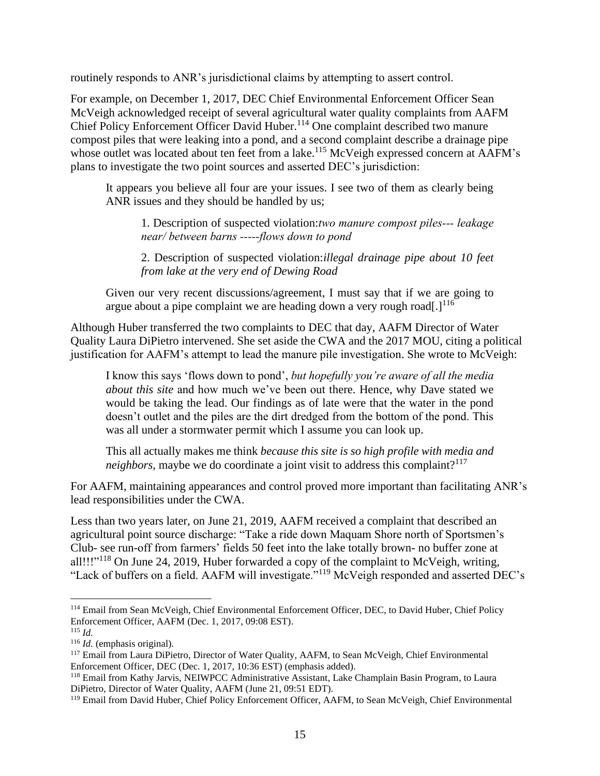routinely responds to ANR's jurisdictional claims by attempting to assert control.

For example, on December 1, 2017, DEC Chief Environmental Enforcement Officer Sean McVeigh acknowledged receipt of several agricultural water quality complaints from AAFM Chief Policy Enforcement Officer David Huber.<sup>114</sup> One complaint described two manure compost piles that were leaking into a pond, and a second complaint describe a drainage pipe whose outlet was located about ten feet from a lake.<sup>115</sup> McVeigh expressed concern at AAFM's plans to investigate the two point sources and asserted DEC's jurisdiction:

It appears you believe all four are your issues. I see two of them as clearly being ANR issues and they should be handled by us;

1. Description of suspected violation:*two manure compost piles‐‐‐ leakage near/ between barns ‐‐‐‐‐flows down to pond*

2. Description of suspected violation:*illegal drainage pipe about 10 feet from lake at the very end of Dewing Road*

Given our very recent discussions/agreement, I must say that if we are going to argue about a pipe complaint we are heading down a very rough road[.] $^{116}$ 

Although Huber transferred the two complaints to DEC that day, AAFM Director of Water Quality Laura DiPietro intervened. She set aside the CWA and the 2017 MOU, citing a political justification for AAFM's attempt to lead the manure pile investigation. She wrote to McVeigh:

I know this says 'flows down to pond', *but hopefully you're aware of all the media about this site* and how much we've been out there. Hence, why Dave stated we would be taking the lead. Our findings as of late were that the water in the pond doesn't outlet and the piles are the dirt dredged from the bottom of the pond. This was all under a stormwater permit which I assume you can look up.

This all actually makes me think *because this site is so high profile with media and neighbors*, maybe we do coordinate a joint visit to address this complaint?<sup>117</sup>

For AAFM, maintaining appearances and control proved more important than facilitating ANR's lead responsibilities under the CWA.

Less than two years later, on June 21, 2019, AAFM received a complaint that described an agricultural point source discharge: "Take a ride down Maquam Shore north of Sportsmen's Club- see run-off from farmers' fields 50 feet into the lake totally brown- no buffer zone at all!!!"<sup>118</sup> On June 24, 2019, Huber forwarded a copy of the complaint to McVeigh, writing, "Lack of buffers on a field. AAFM will investigate."<sup>119</sup> McVeigh responded and asserted DEC's

<sup>114</sup> Email from Sean McVeigh, Chief Environmental Enforcement Officer, DEC, to David Huber, Chief Policy Enforcement Officer, AAFM (Dec. 1, 2017, 09:08 EST).

<sup>115</sup> *Id.*

<sup>116</sup> *Id.* (emphasis original).

<sup>117</sup> Email from Laura DiPietro, Director of Water Quality, AAFM, to Sean McVeigh, Chief Environmental Enforcement Officer, DEC (Dec. 1, 2017, 10:36 EST) (emphasis added).

<sup>118</sup> Email from Kathy Jarvis, NEIWPCC Administrative Assistant, Lake Champlain Basin Program, to Laura DiPietro, Director of Water Quality, AAFM (June 21, 09:51 EDT).

<sup>119</sup> Email from David Huber, Chief Policy Enforcement Officer, AAFM, to Sean McVeigh, Chief Environmental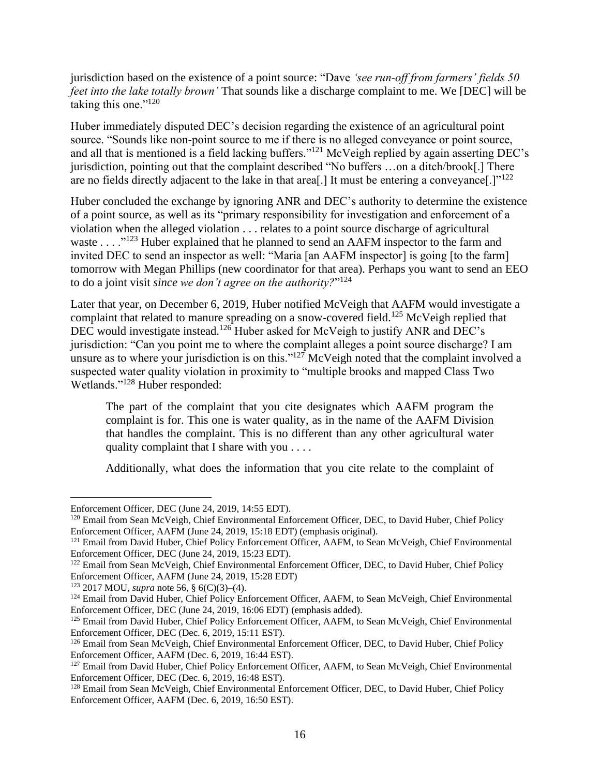jurisdiction based on the existence of a point source: "Dave *'see run‐off from farmers' fields 50 feet into the lake totally brown'* That sounds like a discharge complaint to me. We [DEC] will be taking this one."<sup>120</sup>

Huber immediately disputed DEC's decision regarding the existence of an agricultural point source. "Sounds like non-point source to me if there is no alleged conveyance or point source, and all that is mentioned is a field lacking buffers."<sup>121</sup> McVeigh replied by again asserting DEC's jurisdiction, pointing out that the complaint described "No buffers …on a ditch/brook[.] There are no fields directly adjacent to the lake in that area[.] It must be entering a conveyance[.]"<sup>122</sup>

Huber concluded the exchange by ignoring ANR and DEC's authority to determine the existence of a point source, as well as its "primary responsibility for investigation and enforcement of a violation when the alleged violation . . . relates to a point source discharge of agricultural waste . . . .<sup>"123</sup> Huber explained that he planned to send an AAFM inspector to the farm and invited DEC to send an inspector as well: "Maria [an AAFM inspector] is going [to the farm] tomorrow with Megan Phillips (new coordinator for that area). Perhaps you want to send an EEO to do a joint visit *since we don't agree on the authority?*" 124

Later that year, on December 6, 2019, Huber notified McVeigh that AAFM would investigate a complaint that related to manure spreading on a snow-covered field.<sup>125</sup> McVeigh replied that DEC would investigate instead.<sup>126</sup> Huber asked for McVeigh to justify ANR and DEC's jurisdiction: "Can you point me to where the complaint alleges a point source discharge? I am unsure as to where your jurisdiction is on this." $127$  McVeigh noted that the complaint involved a suspected water quality violation in proximity to "multiple brooks and mapped Class Two Wetlands."<sup>128</sup> Huber responded:

The part of the complaint that you cite designates which AAFM program the complaint is for. This one is water quality, as in the name of the AAFM Division that handles the complaint. This is no different than any other agricultural water quality complaint that I share with you . . . .

Additionally, what does the information that you cite relate to the complaint of

Enforcement Officer, DEC (June 24, 2019, 14:55 EDT).

<sup>120</sup> Email from Sean McVeigh, Chief Environmental Enforcement Officer, DEC, to David Huber, Chief Policy Enforcement Officer, AAFM (June 24, 2019, 15:18 EDT) (emphasis original).

<sup>&</sup>lt;sup>121</sup> Email from David Huber, Chief Policy Enforcement Officer, AAFM, to Sean McVeigh, Chief Environmental Enforcement Officer, DEC (June 24, 2019, 15:23 EDT).

<sup>&</sup>lt;sup>122</sup> Email from Sean McVeigh, Chief Environmental Enforcement Officer, DEC, to David Huber, Chief Policy Enforcement Officer, AAFM (June 24, 2019, 15:28 EDT)

<sup>123</sup> 2017 MOU, *supra* note [56,](#page-7-0) § 6(C)(3)–(4).

<sup>&</sup>lt;sup>124</sup> Email from David Huber, Chief Policy Enforcement Officer, AAFM, to Sean McVeigh, Chief Environmental Enforcement Officer, DEC (June 24, 2019, 16:06 EDT) (emphasis added).

<sup>&</sup>lt;sup>125</sup> Email from David Huber, Chief Policy Enforcement Officer, AAFM, to Sean McVeigh, Chief Environmental Enforcement Officer, DEC (Dec. 6, 2019, 15:11 EST).

<sup>126</sup> Email from Sean McVeigh, Chief Environmental Enforcement Officer, DEC, to David Huber, Chief Policy Enforcement Officer, AAFM (Dec. 6, 2019, 16:44 EST).

<sup>&</sup>lt;sup>127</sup> Email from David Huber, Chief Policy Enforcement Officer, AAFM, to Sean McVeigh, Chief Environmental Enforcement Officer, DEC (Dec. 6, 2019, 16:48 EST).

<sup>&</sup>lt;sup>128</sup> Email from Sean McVeigh, Chief Environmental Enforcement Officer, DEC, to David Huber, Chief Policy Enforcement Officer, AAFM (Dec. 6, 2019, 16:50 EST).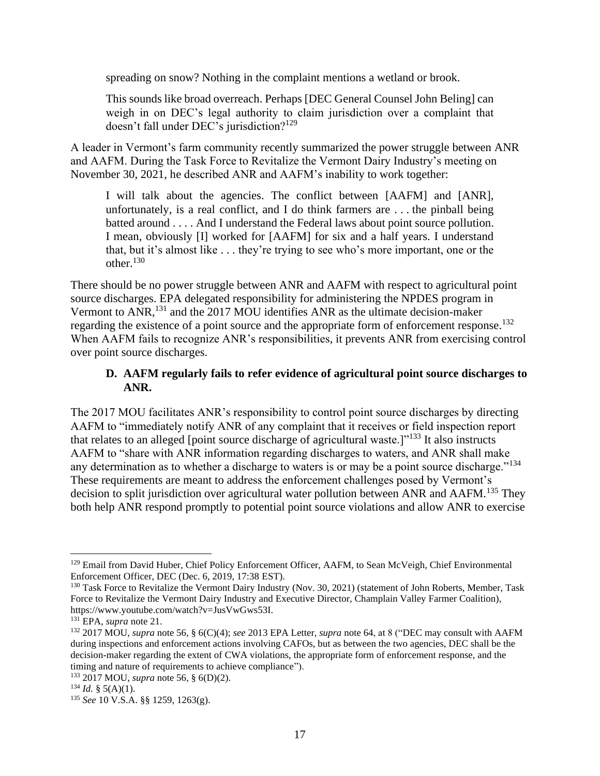spreading on snow? Nothing in the complaint mentions a wetland or brook.

This sounds like broad overreach. Perhaps [DEC General Counsel John Beling] can weigh in on DEC's legal authority to claim jurisdiction over a complaint that doesn't fall under DEC's jurisdiction?<sup>129</sup>

A leader in Vermont's farm community recently summarized the power struggle between ANR and AAFM. During the Task Force to Revitalize the Vermont Dairy Industry's meeting on November 30, 2021, he described ANR and AAFM's inability to work together:

I will talk about the agencies. The conflict between [AAFM] and [ANR], unfortunately, is a real conflict, and I do think farmers are . . . the pinball being batted around . . . . And I understand the Federal laws about point source pollution. I mean, obviously [I] worked for [AAFM] for six and a half years. I understand that, but it's almost like . . . they're trying to see who's more important, one or the other.<sup>130</sup>

<span id="page-19-1"></span>There should be no power struggle between ANR and AAFM with respect to agricultural point source discharges. EPA delegated responsibility for administering the NPDES program in Vermont to ANR,<sup>131</sup> and the 2017 MOU identifies ANR as the ultimate decision-maker regarding the existence of a point source and the appropriate form of enforcement response.<sup>132</sup> When AAFM fails to recognize ANR's responsibilities, it prevents ANR from exercising control over point source discharges.

## <span id="page-19-0"></span>**D. AAFM regularly fails to refer evidence of agricultural point source discharges to ANR.**

The 2017 MOU facilitates ANR's responsibility to control point source discharges by directing AAFM to "immediately notify ANR of any complaint that it receives or field inspection report that relates to an alleged [point source discharge of agricultural waste.] $1^{133}$  It also instructs AAFM to "share with ANR information regarding discharges to waters, and ANR shall make any determination as to whether a discharge to waters is or may be a point source discharge."<sup>134</sup> These requirements are meant to address the enforcement challenges posed by Vermont's decision to split jurisdiction over agricultural water pollution between ANR and AAFM.<sup>135</sup> They both help ANR respond promptly to potential point source violations and allow ANR to exercise

<sup>&</sup>lt;sup>129</sup> Email from David Huber, Chief Policy Enforcement Officer, AAFM, to Sean McVeigh, Chief Environmental Enforcement Officer, DEC (Dec. 6, 2019, 17:38 EST).

<sup>&</sup>lt;sup>130</sup> Task Force to Revitalize the Vermont Dairy Industry (Nov. 30, 2021) (statement of John Roberts, Member, Task Force to Revitalize the Vermont Dairy Industry and Executive Director, Champlain Valley Farmer Coalition), https://www.youtube.com/watch?v=JusVwGws53I.

<sup>131</sup> EPA, *supra* note [21.](#page-5-2)

<sup>132</sup> 2017 MOU, *supra* note [56,](#page-7-0) § 6(C)(4); *see* 2013 EPA Letter, *supra* note [64,](#page-8-1) at 8 ("DEC may consult with AAFM during inspections and enforcement actions involving CAFOs, but as between the two agencies, DEC shall be the decision-maker regarding the extent of CWA violations, the appropriate form of enforcement response, and the timing and nature of requirements to achieve compliance").

<sup>133</sup> 2017 MOU, *supra* note [56,](#page-7-0) § 6(D)(2).

 $134$  *Id.* § 5(A)(1).

<sup>135</sup> *See* 10 V.S.A. §§ 1259, 1263(g).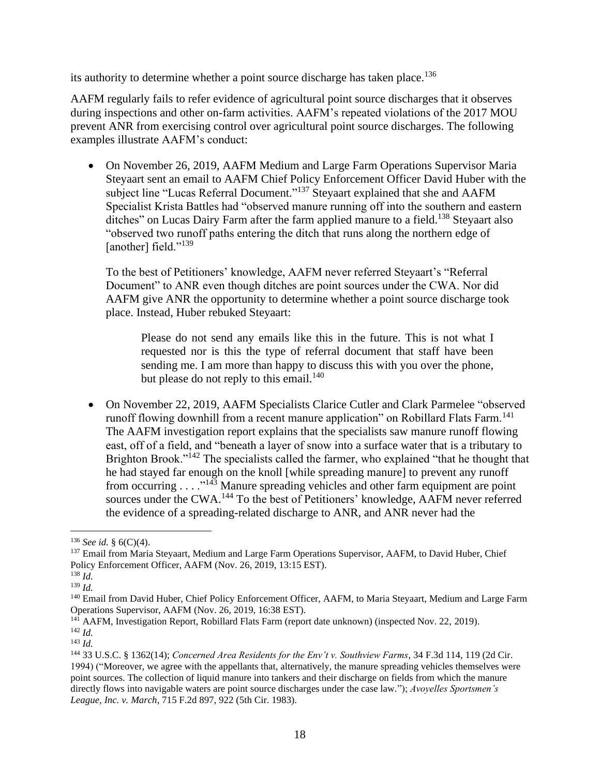its authority to determine whether a point source discharge has taken place.<sup>136</sup>

AAFM regularly fails to refer evidence of agricultural point source discharges that it observes during inspections and other on-farm activities. AAFM's repeated violations of the 2017 MOU prevent ANR from exercising control over agricultural point source discharges. The following examples illustrate AAFM's conduct:

• On November 26, 2019, AAFM Medium and Large Farm Operations Supervisor Maria Steyaart sent an email to AAFM Chief Policy Enforcement Officer David Huber with the subject line "Lucas Referral Document."<sup>137</sup> Steyaart explained that she and AAFM Specialist Krista Battles had "observed manure running off into the southern and eastern ditches" on Lucas Dairy Farm after the farm applied manure to a field.<sup>138</sup> Steyaart also "observed two runoff paths entering the ditch that runs along the northern edge of [another] field."<sup>139</sup>

To the best of Petitioners' knowledge, AAFM never referred Steyaart's "Referral Document" to ANR even though ditches are point sources under the CWA. Nor did AAFM give ANR the opportunity to determine whether a point source discharge took place. Instead, Huber rebuked Steyaart:

Please do not send any emails like this in the future. This is not what I requested nor is this the type of referral document that staff have been sending me. I am more than happy to discuss this with you over the phone, but please do not reply to this email. $140$ 

• On November 22, 2019, AAFM Specialists Clarice Cutler and Clark Parmelee "observed runoff flowing downhill from a recent manure application" on Robillard Flats Farm.<sup>141</sup> The AAFM investigation report explains that the specialists saw manure runoff flowing east, off of a field, and "beneath a layer of snow into a surface water that is a tributary to Brighton Brook."<sup>142</sup> The specialists called the farmer, who explained "that he thought that he had stayed far enough on the knoll [while spreading manure] to prevent any runoff from occurring  $\dots$ <sup>143</sup> Manure spreading vehicles and other farm equipment are point sources under the CWA.<sup>144</sup> To the best of Petitioners' knowledge, AAFM never referred the evidence of a spreading-related discharge to ANR, and ANR never had the

<sup>136</sup> *See id.* § 6(C)(4).

<sup>&</sup>lt;sup>137</sup> Email from Maria Steyaart, Medium and Large Farm Operations Supervisor, AAFM, to David Huber, Chief Policy Enforcement Officer, AAFM (Nov. 26, 2019, 13:15 EST).

<sup>138</sup> *Id.*

<sup>139</sup> *Id.*

<sup>&</sup>lt;sup>140</sup> Email from David Huber, Chief Policy Enforcement Officer, AAFM, to Maria Steyaart, Medium and Large Farm Operations Supervisor, AAFM (Nov. 26, 2019, 16:38 EST).

<sup>141</sup> AAFM, Investigation Report, Robillard Flats Farm (report date unknown) (inspected Nov. 22, 2019).

<sup>142</sup> *Id.*

<sup>143</sup> *Id.*

<sup>144</sup> 33 U.S.C. § 1362(14); *Concerned Area Residents for the Env't v. Southview Farms*, 34 F.3d 114, 119 (2d Cir. 1994) ("Moreover, we agree with the appellants that, alternatively, the manure spreading vehicles themselves were point sources. The collection of liquid manure into tankers and their discharge on fields from which the manure directly flows into navigable waters are point source discharges under the case law."); *Avoyelles Sportsmen's League, Inc. v. March*, 715 F.2d 897, 922 (5th Cir. 1983).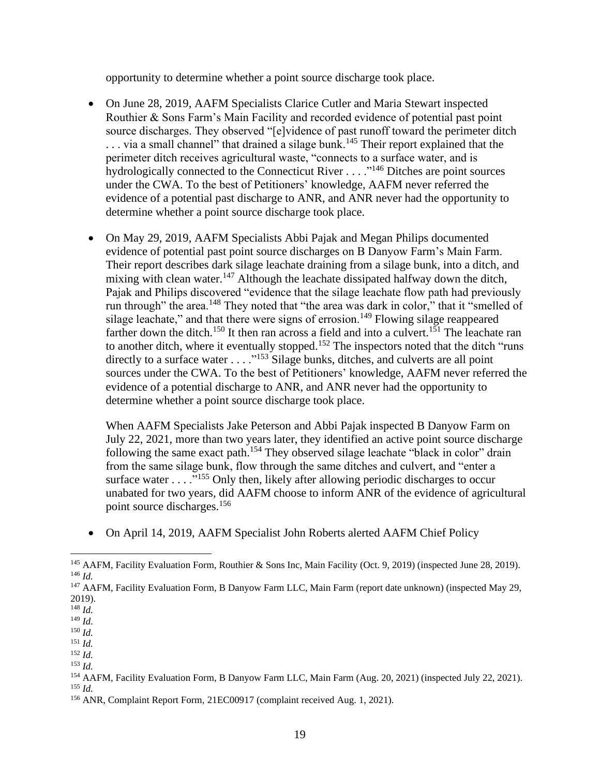opportunity to determine whether a point source discharge took place.

- On June 28, 2019, AAFM Specialists Clarice Cutler and Maria Stewart inspected Routhier & Sons Farm's Main Facility and recorded evidence of potential past point source discharges. They observed "[e]vidence of past runoff toward the perimeter ditch ... via a small channel" that drained a silage bunk.<sup>145</sup> Their report explained that the perimeter ditch receives agricultural waste, "connects to a surface water, and is hydrologically connected to the Connecticut River . . . . .<sup>"146</sup> Ditches are point sources under the CWA. To the best of Petitioners' knowledge, AAFM never referred the evidence of a potential past discharge to ANR, and ANR never had the opportunity to determine whether a point source discharge took place.
- On May 29, 2019, AAFM Specialists Abbi Pajak and Megan Philips documented evidence of potential past point source discharges on B Danyow Farm's Main Farm. Their report describes dark silage leachate draining from a silage bunk, into a ditch, and mixing with clean water.<sup>147</sup> Although the leachate dissipated halfway down the ditch, Pajak and Philips discovered "evidence that the silage leachate flow path had previously run through" the area.<sup>148</sup> They noted that "the area was dark in color," that it "smelled of silage leachate," and that there were signs of errosion.<sup>149</sup> Flowing silage reappeared farther down the ditch.<sup>150</sup> It then ran across a field and into a culvert.<sup>151</sup> The leachate ran to another ditch, where it eventually stopped.<sup>152</sup> The inspectors noted that the ditch "runs" directly to a surface water  $\dots$  ."<sup>153</sup> Silage bunks, ditches, and culverts are all point sources under the CWA. To the best of Petitioners' knowledge, AAFM never referred the evidence of a potential discharge to ANR, and ANR never had the opportunity to determine whether a point source discharge took place.

When AAFM Specialists Jake Peterson and Abbi Pajak inspected B Danyow Farm on July 22, 2021, more than two years later, they identified an active point source discharge following the same exact path.<sup>154</sup> They observed silage leachate "black in color" drain from the same silage bunk, flow through the same ditches and culvert, and "enter a surface water  $\dots$  . . . <sup>155</sup> Only then, likely after allowing periodic discharges to occur unabated for two years, did AAFM choose to inform ANR of the evidence of agricultural point source discharges.<sup>156</sup>

• On April 14, 2019, AAFM Specialist John Roberts alerted AAFM Chief Policy

<sup>153</sup> *Id.*

<sup>145</sup> AAFM, Facility Evaluation Form, Routhier & Sons Inc, Main Facility (Oct. 9, 2019) (inspected June 28, 2019). <sup>146</sup> *Id.*

<sup>147</sup> AAFM, Facility Evaluation Form, B Danyow Farm LLC, Main Farm (report date unknown) (inspected May 29, 2019).

<sup>148</sup> *Id.*

<sup>149</sup> *Id.*

<sup>150</sup> *Id.*

<sup>151</sup> *Id.* <sup>152</sup> *Id.*

<sup>154</sup> AAFM, Facility Evaluation Form, B Danyow Farm LLC, Main Farm (Aug. 20, 2021) (inspected July 22, 2021). <sup>155</sup> *Id.*

<sup>156</sup> ANR, Complaint Report Form, 21EC00917 (complaint received Aug. 1, 2021).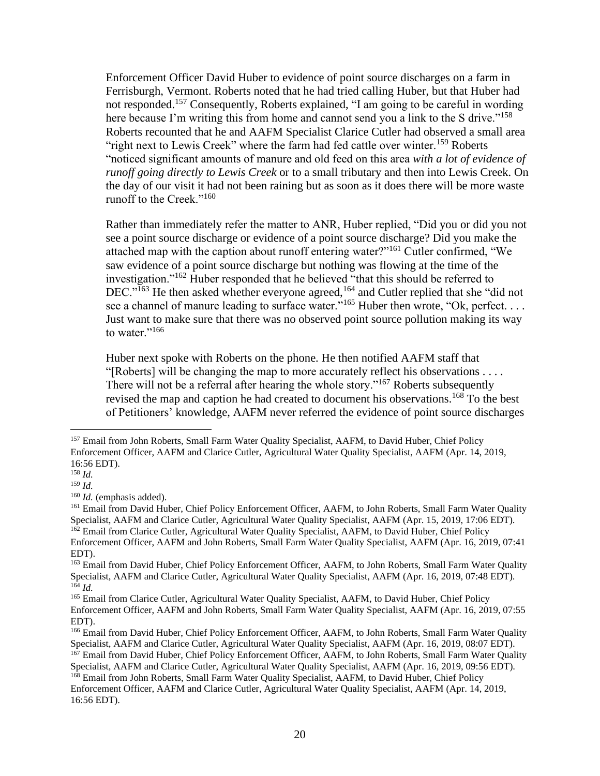Enforcement Officer David Huber to evidence of point source discharges on a farm in Ferrisburgh, Vermont. Roberts noted that he had tried calling Huber, but that Huber had not responded.<sup>157</sup> Consequently, Roberts explained, "I am going to be careful in wording here because I'm writing this from home and cannot send you a link to the S drive."<sup>158</sup> Roberts recounted that he and AAFM Specialist Clarice Cutler had observed a small area "right next to Lewis Creek" where the farm had fed cattle over winter.<sup>159</sup> Roberts "noticed significant amounts of manure and old feed on this area *with a lot of evidence of runoff going directly to Lewis Creek* or to a small tributary and then into Lewis Creek. On the day of our visit it had not been raining but as soon as it does there will be more waste runoff to the Creek."<sup>160</sup>

Rather than immediately refer the matter to ANR, Huber replied, "Did you or did you not see a point source discharge or evidence of a point source discharge? Did you make the attached map with the caption about runoff entering water?"<sup>161</sup> Cutler confirmed, "We saw evidence of a point source discharge but nothing was flowing at the time of the investigation."<sup>162</sup> Huber responded that he believed "that this should be referred to DEC."<sup>163</sup> He then asked whether everyone agreed,<sup>164</sup> and Cutler replied that she "did not see a channel of manure leading to surface water."<sup>165</sup> Huber then wrote, "Ok, perfect. . . . Just want to make sure that there was no observed point source pollution making its way to water."<sup>166</sup>

Huber next spoke with Roberts on the phone. He then notified AAFM staff that "[Roberts] will be changing the map to more accurately reflect his observations . . . . There will not be a referral after hearing the whole story."<sup>167</sup> Roberts subsequently revised the map and caption he had created to document his observations.<sup>168</sup> To the best of Petitioners' knowledge, AAFM never referred the evidence of point source discharges

<sup>&</sup>lt;sup>157</sup> Email from John Roberts, Small Farm Water Quality Specialist, AAFM, to David Huber, Chief Policy Enforcement Officer, AAFM and Clarice Cutler, Agricultural Water Quality Specialist, AAFM (Apr. 14, 2019, 16:56 EDT).

<sup>158</sup> *Id.*

<sup>159</sup> *Id.*

<sup>160</sup> *Id.* (emphasis added).

<sup>&</sup>lt;sup>161</sup> Email from David Huber, Chief Policy Enforcement Officer, AAFM, to John Roberts, Small Farm Water Quality Specialist, AAFM and Clarice Cutler, Agricultural Water Quality Specialist, AAFM (Apr. 15, 2019, 17:06 EDT). <sup>162</sup> Email from Clarice Cutler, Agricultural Water Quality Specialist, AAFM, to David Huber, Chief Policy Enforcement Officer, AAFM and John Roberts, Small Farm Water Quality Specialist, AAFM (Apr. 16, 2019, 07:41 EDT).

<sup>&</sup>lt;sup>163</sup> Email from David Huber, Chief Policy Enforcement Officer, AAFM, to John Roberts, Small Farm Water Quality Specialist, AAFM and Clarice Cutler, Agricultural Water Quality Specialist, AAFM (Apr. 16, 2019, 07:48 EDT). <sup>164</sup> *Id.*

<sup>&</sup>lt;sup>165</sup> Email from Clarice Cutler, Agricultural Water Quality Specialist, AAFM, to David Huber, Chief Policy Enforcement Officer, AAFM and John Roberts, Small Farm Water Quality Specialist, AAFM (Apr. 16, 2019, 07:55 EDT).

<sup>&</sup>lt;sup>166</sup> Email from David Huber, Chief Policy Enforcement Officer, AAFM, to John Roberts, Small Farm Water Quality Specialist, AAFM and Clarice Cutler, Agricultural Water Quality Specialist, AAFM (Apr. 16, 2019, 08:07 EDT).

<sup>&</sup>lt;sup>167</sup> Email from David Huber, Chief Policy Enforcement Officer, AAFM, to John Roberts, Small Farm Water Quality Specialist, AAFM and Clarice Cutler, Agricultural Water Quality Specialist, AAFM (Apr. 16, 2019, 09:56 EDT).

<sup>&</sup>lt;sup>168</sup> Email from John Roberts, Small Farm Water Quality Specialist, AAFM, to David Huber, Chief Policy Enforcement Officer, AAFM and Clarice Cutler, Agricultural Water Quality Specialist, AAFM (Apr. 14, 2019, 16:56 EDT).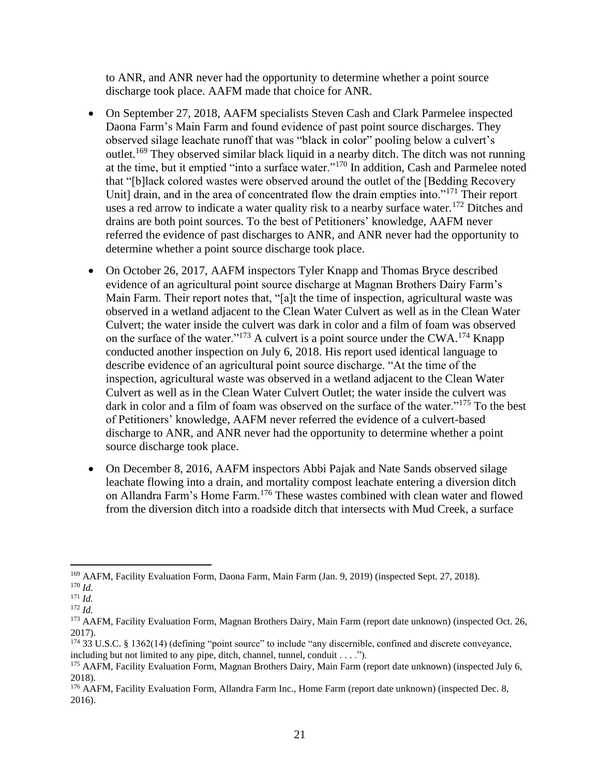to ANR, and ANR never had the opportunity to determine whether a point source discharge took place. AAFM made that choice for ANR.

- On September 27, 2018, AAFM specialists Steven Cash and Clark Parmelee inspected Daona Farm's Main Farm and found evidence of past point source discharges. They observed silage leachate runoff that was "black in color" pooling below a culvert's outlet.<sup>169</sup> They observed similar black liquid in a nearby ditch. The ditch was not running at the time, but it emptied "into a surface water."<sup>170</sup> In addition, Cash and Parmelee noted that "[b]lack colored wastes were observed around the outlet of the [Bedding Recovery Unit] drain, and in the area of concentrated flow the drain empties into."<sup>171</sup> Their report uses a red arrow to indicate a water quality risk to a nearby surface water.<sup>172</sup> Ditches and drains are both point sources. To the best of Petitioners' knowledge, AAFM never referred the evidence of past discharges to ANR, and ANR never had the opportunity to determine whether a point source discharge took place.
- On October 26, 2017, AAFM inspectors Tyler Knapp and Thomas Bryce described evidence of an agricultural point source discharge at Magnan Brothers Dairy Farm's Main Farm. Their report notes that, "[a]t the time of inspection, agricultural waste was observed in a wetland adjacent to the Clean Water Culvert as well as in the Clean Water Culvert; the water inside the culvert was dark in color and a film of foam was observed on the surface of the water."<sup>173</sup> A culvert is a point source under the CWA.<sup>174</sup> Knapp conducted another inspection on July 6, 2018. His report used identical language to describe evidence of an agricultural point source discharge. "At the time of the inspection, agricultural waste was observed in a wetland adjacent to the Clean Water Culvert as well as in the Clean Water Culvert Outlet; the water inside the culvert was dark in color and a film of foam was observed on the surface of the water."<sup>175</sup> To the best of Petitioners' knowledge, AAFM never referred the evidence of a culvert-based discharge to ANR, and ANR never had the opportunity to determine whether a point source discharge took place.
- On December 8, 2016, AAFM inspectors Abbi Pajak and Nate Sands observed silage leachate flowing into a drain, and mortality compost leachate entering a diversion ditch on Allandra Farm's Home Farm.<sup>176</sup> These wastes combined with clean water and flowed from the diversion ditch into a roadside ditch that intersects with Mud Creek, a surface

<sup>&</sup>lt;sup>169</sup> AAFM, Facility Evaluation Form, Daona Farm, Main Farm (Jan. 9, 2019) (inspected Sept. 27, 2018).

<sup>170</sup> *Id.*

<sup>171</sup> *Id.*

<sup>172</sup> *Id.*

<sup>173</sup> AAFM, Facility Evaluation Form, Magnan Brothers Dairy, Main Farm (report date unknown) (inspected Oct. 26, 2017).

<sup>174</sup> 33 U.S.C. § 1362(14) (defining "point source" to include "any discernible, confined and discrete conveyance, including but not limited to any pipe, ditch, channel, tunnel, conduit . . . .").

<sup>175</sup> AAFM, Facility Evaluation Form, Magnan Brothers Dairy, Main Farm (report date unknown) (inspected July 6, 2018).

<sup>&</sup>lt;sup>176</sup> AAFM, Facility Evaluation Form, Allandra Farm Inc., Home Farm (report date unknown) (inspected Dec. 8, 2016).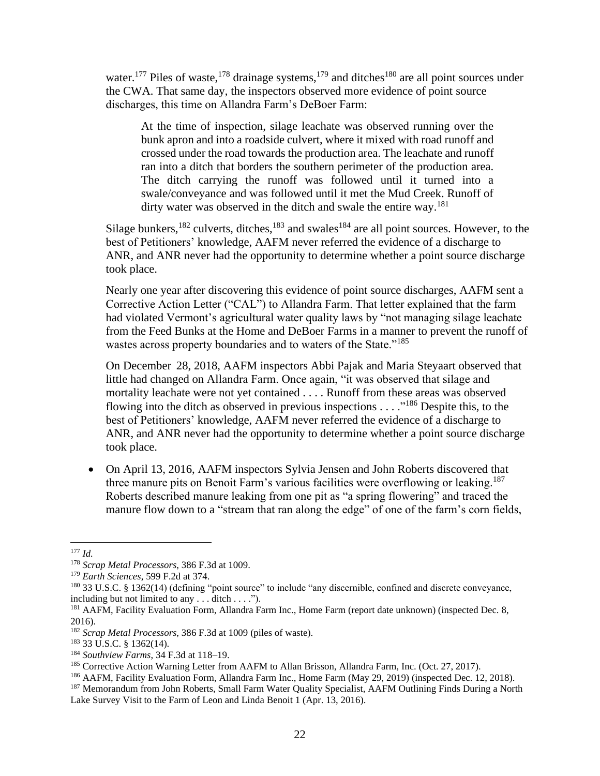water.<sup>177</sup> Piles of waste,<sup>178</sup> drainage systems,<sup>179</sup> and ditches<sup>180</sup> are all point sources under the CWA. That same day, the inspectors observed more evidence of point source discharges, this time on Allandra Farm's DeBoer Farm:

At the time of inspection, silage leachate was observed running over the bunk apron and into a roadside culvert, where it mixed with road runoff and crossed under the road towards the production area. The leachate and runoff ran into a ditch that borders the southern perimeter of the production area. The ditch carrying the runoff was followed until it turned into a swale/conveyance and was followed until it met the Mud Creek. Runoff of dirty water was observed in the ditch and swale the entire way.<sup>181</sup>

Silage bunkers,<sup>182</sup> culverts, ditches,<sup>183</sup> and swales<sup>184</sup> are all point sources. However, to the best of Petitioners' knowledge, AAFM never referred the evidence of a discharge to ANR, and ANR never had the opportunity to determine whether a point source discharge took place.

Nearly one year after discovering this evidence of point source discharges, AAFM sent a Corrective Action Letter ("CAL") to Allandra Farm. That letter explained that the farm had violated Vermont's agricultural water quality laws by "not managing silage leachate from the Feed Bunks at the Home and DeBoer Farms in a manner to prevent the runoff of wastes across property boundaries and to waters of the State."<sup>185</sup>

On December 28, 2018, AAFM inspectors Abbi Pajak and Maria Steyaart observed that little had changed on Allandra Farm. Once again, "it was observed that silage and mortality leachate were not yet contained . . . . Runoff from these areas was observed flowing into the ditch as observed in previous inspections . . . .<sup>"186</sup> Despite this, to the best of Petitioners' knowledge, AAFM never referred the evidence of a discharge to ANR, and ANR never had the opportunity to determine whether a point source discharge took place.

• On April 13, 2016, AAFM inspectors Sylvia Jensen and John Roberts discovered that three manure pits on Benoit Farm's various facilities were overflowing or leaking.<sup>187</sup> Roberts described manure leaking from one pit as "a spring flowering" and traced the manure flow down to a "stream that ran along the edge" of one of the farm's corn fields,

<sup>177</sup> *Id.*

<sup>178</sup> *Scrap Metal Processors*, 386 F.3d at 1009.

<sup>179</sup> *Earth Sciences*, 599 F.2d at 374.

<sup>180</sup> 33 U.S.C. § 1362(14) (defining "point source" to include "any discernible, confined and discrete conveyance, including but not limited to any . . . ditch . . . .").

<sup>&</sup>lt;sup>181</sup> AAFM, Facility Evaluation Form, Allandra Farm Inc., Home Farm (report date unknown) (inspected Dec. 8, 2016).

<sup>182</sup> *Scrap Metal Processors*, 386 F.3d at 1009 (piles of waste).

<sup>183</sup> 33 U.S.C. § 1362(14).

<sup>184</sup> *Southview Farms*, 34 F.3d at 118–19.

<sup>&</sup>lt;sup>185</sup> Corrective Action Warning Letter from AAFM to Allan Brisson, Allandra Farm, Inc. (Oct. 27, 2017).

<sup>&</sup>lt;sup>186</sup> AAFM, Facility Evaluation Form, Allandra Farm Inc., Home Farm (May 29, 2019) (inspected Dec. 12, 2018).

<sup>&</sup>lt;sup>187</sup> Memorandum from John Roberts, Small Farm Water Quality Specialist, AAFM Outlining Finds During a North Lake Survey Visit to the Farm of Leon and Linda Benoit 1 (Apr. 13, 2016).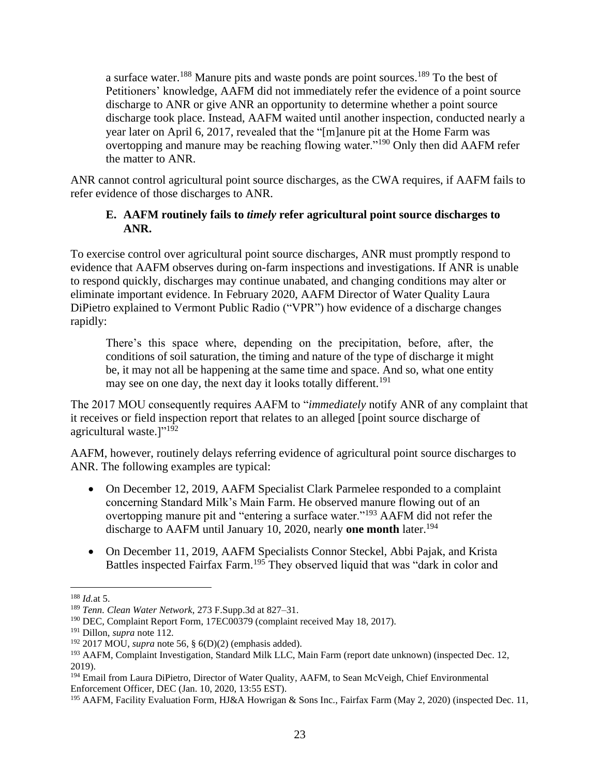a surface water.<sup>188</sup> Manure pits and waste ponds are point sources.<sup>189</sup> To the best of Petitioners' knowledge, AAFM did not immediately refer the evidence of a point source discharge to ANR or give ANR an opportunity to determine whether a point source discharge took place. Instead, AAFM waited until another inspection, conducted nearly a year later on April 6, 2017, revealed that the "[m]anure pit at the Home Farm was overtopping and manure may be reaching flowing water."<sup>190</sup> Only then did AAFM refer the matter to ANR.

<span id="page-25-0"></span>ANR cannot control agricultural point source discharges, as the CWA requires, if AAFM fails to refer evidence of those discharges to ANR.

#### **E. AAFM routinely fails to** *timely* **refer agricultural point source discharges to ANR.**

To exercise control over agricultural point source discharges, ANR must promptly respond to evidence that AAFM observes during on-farm inspections and investigations. If ANR is unable to respond quickly, discharges may continue unabated, and changing conditions may alter or eliminate important evidence. In February 2020, AAFM Director of Water Quality Laura DiPietro explained to Vermont Public Radio ("VPR") how evidence of a discharge changes rapidly:

There's this space where, depending on the precipitation, before, after, the conditions of soil saturation, the timing and nature of the type of discharge it might be, it may not all be happening at the same time and space. And so, what one entity may see on one day, the next day it looks totally different.<sup>191</sup>

The 2017 MOU consequently requires AAFM to "*immediately* notify ANR of any complaint that it receives or field inspection report that relates to an alleged [point source discharge of agricultural waste. $]$ "<sup>192</sup>

AAFM, however, routinely delays referring evidence of agricultural point source discharges to ANR. The following examples are typical:

- On December 12, 2019, AAFM Specialist Clark Parmelee responded to a complaint concerning Standard Milk's Main Farm. He observed manure flowing out of an overtopping manure pit and "entering a surface water."<sup>193</sup> AAFM did not refer the discharge to AAFM until January 10, 2020, nearly **one month** later.<sup>194</sup>
- On December 11, 2019, AAFM Specialists Connor Steckel, Abbi Pajak, and Krista Battles inspected Fairfax Farm.<sup>195</sup> They observed liquid that was "dark in color and

<sup>188</sup> *Id.*at 5.

<sup>189</sup> *Tenn. Clean Water Network*, 273 F.Supp.3d at 827–31.

<sup>&</sup>lt;sup>190</sup> DEC, Complaint Report Form, 17EC00379 (complaint received May 18, 2017).

<sup>191</sup> Dillon, *supra* note [112.](#page-16-1)

<sup>192</sup> 2017 MOU, *supra* note [56,](#page-7-0) § 6(D)(2) (emphasis added).

<sup>&</sup>lt;sup>193</sup> AAFM, Complaint Investigation, Standard Milk LLC, Main Farm (report date unknown) (inspected Dec. 12, 2019).

<sup>&</sup>lt;sup>194</sup> Email from Laura DiPietro, Director of Water Quality, AAFM, to Sean McVeigh, Chief Environmental Enforcement Officer, DEC (Jan. 10, 2020, 13:55 EST).

<sup>195</sup> AAFM, Facility Evaluation Form, HJ&A Howrigan & Sons Inc., Fairfax Farm (May 2, 2020) (inspected Dec. 11,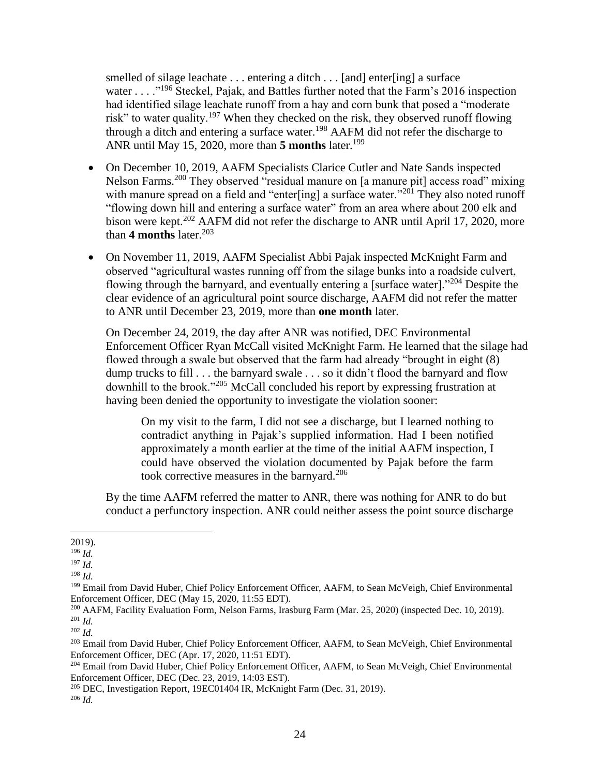smelled of silage leachate . . . entering a ditch . . . [and] enter[ing] a surface water . . . .  $\cdot$ <sup>196</sup> Steckel, Pajak, and Battles further noted that the Farm's 2016 inspection had identified silage leachate runoff from a hay and corn bunk that posed a "moderate risk" to water quality.<sup>197</sup> When they checked on the risk, they observed runoff flowing through a ditch and entering a surface water.<sup>198</sup> AAFM did not refer the discharge to ANR until May 15, 2020, more than **5 months** later. 199

- On December 10, 2019, AAFM Specialists Clarice Cutler and Nate Sands inspected Nelson Farms.<sup>200</sup> They observed "residual manure on [a manure pit] access road" mixing with manure spread on a field and "enter[ing] a surface water."<sup>201</sup> They also noted runoff "flowing down hill and entering a surface water" from an area where about 200 elk and bison were kept.<sup>202</sup> AAFM did not refer the discharge to ANR until April 17, 2020, more than  $4$  months later.<sup>203</sup>
- On November 11, 2019, AAFM Specialist Abbi Pajak inspected McKnight Farm and observed "agricultural wastes running off from the silage bunks into a roadside culvert, flowing through the barnyard, and eventually entering a [surface water]."<sup>204</sup> Despite the clear evidence of an agricultural point source discharge, AAFM did not refer the matter to ANR until December 23, 2019, more than **one month** later.

On December 24, 2019, the day after ANR was notified, DEC Environmental Enforcement Officer Ryan McCall visited McKnight Farm. He learned that the silage had flowed through a swale but observed that the farm had already "brought in eight (8) dump trucks to fill . . . the barnyard swale . . . so it didn't flood the barnyard and flow downhill to the brook."<sup>205</sup> McCall concluded his report by expressing frustration at having been denied the opportunity to investigate the violation sooner:

On my visit to the farm, I did not see a discharge, but I learned nothing to contradict anything in Pajak's supplied information. Had I been notified approximately a month earlier at the time of the initial AAFM inspection, I could have observed the violation documented by Pajak before the farm took corrective measures in the barnyard.<sup>206</sup>

By the time AAFM referred the matter to ANR, there was nothing for ANR to do but conduct a perfunctory inspection. ANR could neither assess the point source discharge

<sup>2019).</sup>

<sup>196</sup> *Id.*

<sup>197</sup> *Id.*

<sup>198</sup> *Id.*

<sup>199</sup> Email from David Huber, Chief Policy Enforcement Officer, AAFM, to Sean McVeigh, Chief Environmental Enforcement Officer, DEC (May 15, 2020, 11:55 EDT).

<sup>&</sup>lt;sup>200</sup> AAFM, Facility Evaluation Form, Nelson Farms, Irasburg Farm (Mar. 25, 2020) (inspected Dec. 10, 2019). <sup>201</sup> *Id.*

<sup>202</sup> *Id.*

<sup>&</sup>lt;sup>203</sup> Email from David Huber, Chief Policy Enforcement Officer, AAFM, to Sean McVeigh, Chief Environmental Enforcement Officer, DEC (Apr. 17, 2020, 11:51 EDT).

<sup>204</sup> Email from David Huber, Chief Policy Enforcement Officer, AAFM, to Sean McVeigh, Chief Environmental Enforcement Officer, DEC (Dec. 23, 2019, 14:03 EST).

<sup>&</sup>lt;sup>205</sup> DEC, Investigation Report, 19EC01404 IR, McKnight Farm (Dec. 31, 2019).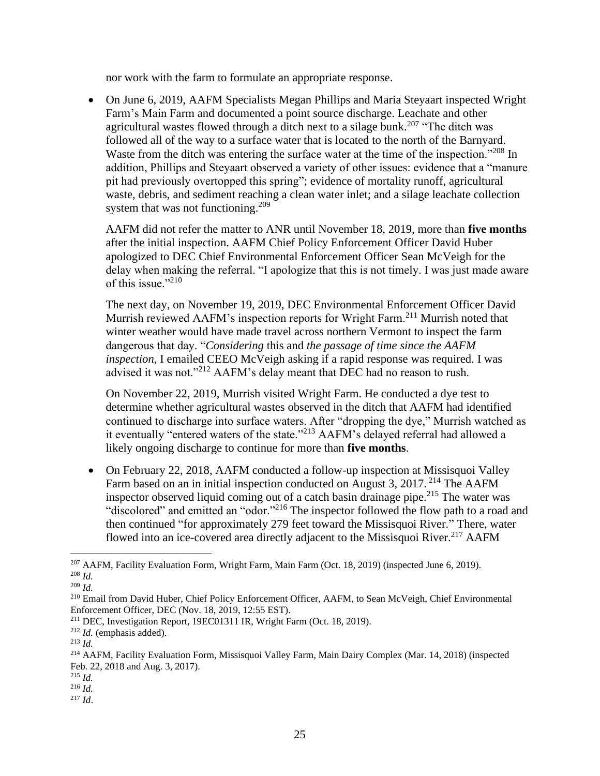nor work with the farm to formulate an appropriate response.

• On June 6, 2019, AAFM Specialists Megan Phillips and Maria Steyaart inspected Wright Farm's Main Farm and documented a point source discharge. Leachate and other agricultural wastes flowed through a ditch next to a silage bunk.<sup>207</sup> "The ditch was followed all of the way to a surface water that is located to the north of the Barnyard. Waste from the ditch was entering the surface water at the time of the inspection."<sup>208</sup> In addition, Phillips and Steyaart observed a variety of other issues: evidence that a "manure pit had previously overtopped this spring"; evidence of mortality runoff, agricultural waste, debris, and sediment reaching a clean water inlet; and a silage leachate collection system that was not functioning.<sup>209</sup>

AAFM did not refer the matter to ANR until November 18, 2019, more than **five months**  after the initial inspection. AAFM Chief Policy Enforcement Officer David Huber apologized to DEC Chief Environmental Enforcement Officer Sean McVeigh for the delay when making the referral. "I apologize that this is not timely. I was just made aware of this issue."<sup>210</sup>

The next day, on November 19, 2019, DEC Environmental Enforcement Officer David Murrish reviewed AAFM's inspection reports for Wright Farm.<sup>211</sup> Murrish noted that winter weather would have made travel across northern Vermont to inspect the farm dangerous that day. "*Considering* this and *the passage of time since the AAFM inspection*, I emailed CEEO McVeigh asking if a rapid response was required. I was advised it was not."<sup>212</sup> AAFM's delay meant that DEC had no reason to rush.

On November 22, 2019, Murrish visited Wright Farm. He conducted a dye test to determine whether agricultural wastes observed in the ditch that AAFM had identified continued to discharge into surface waters. After "dropping the dye," Murrish watched as it eventually "entered waters of the state."<sup>213</sup> AAFM's delayed referral had allowed a likely ongoing discharge to continue for more than **five months**.

• On February 22, 2018, AAFM conducted a follow-up inspection at Missisquoi Valley Farm based on an in initial inspection conducted on August 3, 2017. <sup>214</sup> The AAFM inspector observed liquid coming out of a catch basin drainage pipe.<sup>215</sup> The water was "discolored" and emitted an "odor."<sup>216</sup> The inspector followed the flow path to a road and then continued "for approximately 279 feet toward the Missisquoi River." There, water flowed into an ice-covered area directly adjacent to the Missisquoi River.<sup>217</sup> AAFM

<sup>215</sup> *Id.*

<sup>207</sup> AAFM, Facility Evaluation Form, Wright Farm, Main Farm (Oct. 18, 2019) (inspected June 6, 2019). <sup>208</sup> *Id.*

<sup>209</sup> *Id.*

<sup>210</sup> Email from David Huber, Chief Policy Enforcement Officer, AAFM, to Sean McVeigh, Chief Environmental Enforcement Officer, DEC (Nov. 18, 2019, 12:55 EST).

<sup>211</sup> DEC, Investigation Report, 19EC01311 IR, Wright Farm (Oct. 18, 2019).

<sup>212</sup> *Id.* (emphasis added).

<sup>213</sup> *Id.*

<sup>214</sup> AAFM, Facility Evaluation Form, Missisquoi Valley Farm, Main Dairy Complex (Mar. 14, 2018) (inspected Feb. 22, 2018 and Aug. 3, 2017).

<sup>216</sup> *Id.*

<sup>217</sup> *Id*.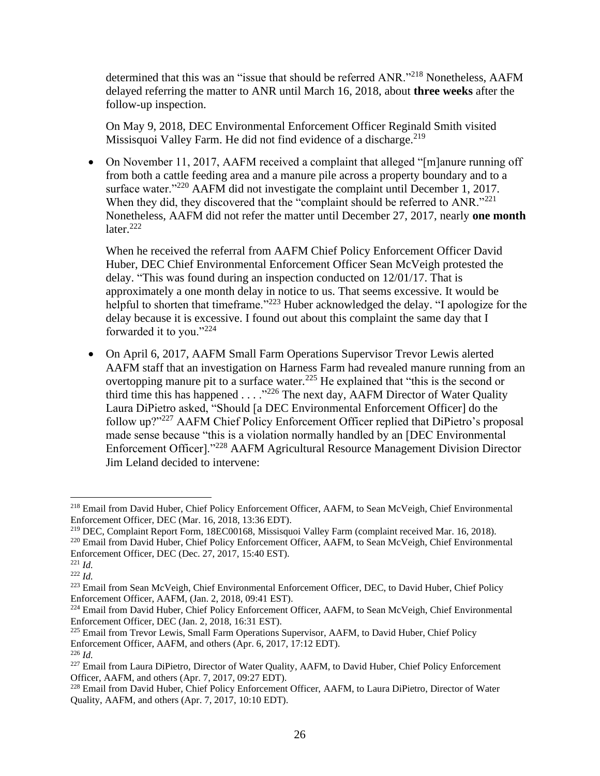determined that this was an "issue that should be referred ANR."<sup>218</sup> Nonetheless, AAFM delayed referring the matter to ANR until March 16, 2018, about **three weeks** after the follow-up inspection.

On May 9, 2018, DEC Environmental Enforcement Officer Reginald Smith visited Missisquoi Valley Farm. He did not find evidence of a discharge.<sup>219</sup>

• On November 11, 2017, AAFM received a complaint that alleged "[m]anure running off from both a cattle feeding area and a manure pile across a property boundary and to a surface water."<sup>220</sup> AAFM did not investigate the complaint until December 1, 2017. When they did, they discovered that the "complaint should be referred to ANR."<sup>221</sup> Nonetheless, AAFM did not refer the matter until December 27, 2017, nearly **one month** later. $222$ 

When he received the referral from AAFM Chief Policy Enforcement Officer David Huber, DEC Chief Environmental Enforcement Officer Sean McVeigh protested the delay. "This was found during an inspection conducted on 12/01/17. That is approximately a one month delay in notice to us. That seems excessive. It would be helpful to shorten that timeframe."<sup>223</sup> Huber acknowledged the delay. "I apologize for the delay because it is excessive. I found out about this complaint the same day that I forwarded it to you."<sup>224</sup>

• On April 6, 2017, AAFM Small Farm Operations Supervisor Trevor Lewis alerted AAFM staff that an investigation on Harness Farm had revealed manure running from an overtopping manure pit to a surface water.<sup>225</sup> He explained that "this is the second or third time this has happened  $\ldots$  ."<sup>226</sup> The next day, AAFM Director of Water Quality Laura DiPietro asked, "Should [a DEC Environmental Enforcement Officer] do the follow up?"<sup>227</sup> AAFM Chief Policy Enforcement Officer replied that DiPietro's proposal made sense because "this is a violation normally handled by an [DEC Environmental Enforcement Officer]."<sup>228</sup> AAFM Agricultural Resource Management Division Director Jim Leland decided to intervene:

<sup>218</sup> Email from David Huber, Chief Policy Enforcement Officer, AAFM, to Sean McVeigh, Chief Environmental Enforcement Officer, DEC (Mar. 16, 2018, 13:36 EDT).

<sup>219</sup> DEC, Complaint Report Form, 18EC00168, Missisquoi Valley Farm (complaint received Mar. 16, 2018).

<sup>220</sup> Email from David Huber, Chief Policy Enforcement Officer, AAFM, to Sean McVeigh, Chief Environmental Enforcement Officer, DEC (Dec. 27, 2017, 15:40 EST).

<sup>221</sup> *Id.*

<sup>222</sup> *Id.*

<sup>&</sup>lt;sup>223</sup> Email from Sean McVeigh, Chief Environmental Enforcement Officer, DEC, to David Huber, Chief Policy Enforcement Officer, AAFM, (Jan. 2, 2018, 09:41 EST).

<sup>&</sup>lt;sup>224</sup> Email from David Huber, Chief Policy Enforcement Officer, AAFM, to Sean McVeigh, Chief Environmental Enforcement Officer, DEC (Jan. 2, 2018, 16:31 EST).

<sup>&</sup>lt;sup>225</sup> Email from Trevor Lewis, Small Farm Operations Supervisor, AAFM, to David Huber, Chief Policy Enforcement Officer, AAFM, and others (Apr. 6, 2017, 17:12 EDT).

<sup>226</sup> *Id.*

<sup>&</sup>lt;sup>227</sup> Email from Laura DiPietro, Director of Water Quality, AAFM, to David Huber, Chief Policy Enforcement Officer, AAFM, and others (Apr. 7, 2017, 09:27 EDT).

<sup>&</sup>lt;sup>228</sup> Email from David Huber, Chief Policy Enforcement Officer, AAFM, to Laura DiPietro, Director of Water Quality, AAFM, and others (Apr. 7, 2017, 10:10 EDT).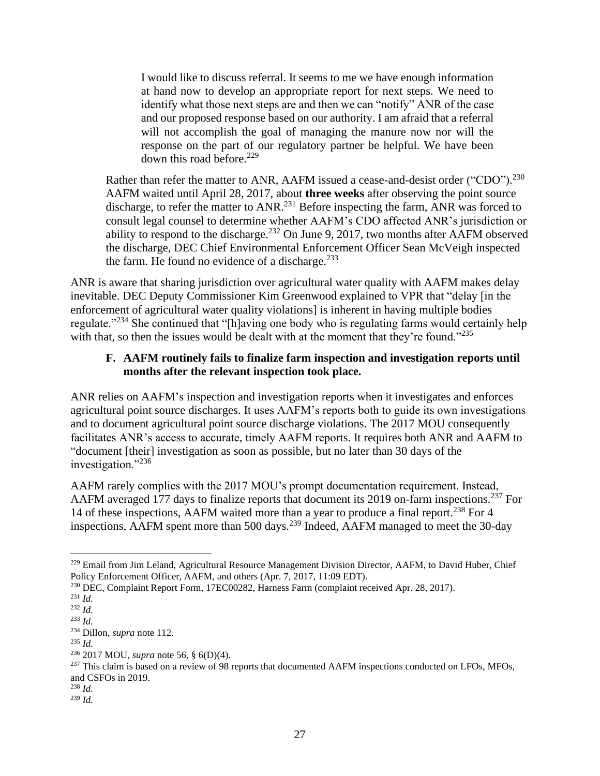I would like to discuss referral. It seems to me we have enough information at hand now to develop an appropriate report for next steps. We need to identify what those next steps are and then we can "notify" ANR of the case and our proposed response based on our authority. I am afraid that a referral will not accomplish the goal of managing the manure now nor will the response on the part of our regulatory partner be helpful. We have been down this road before.<sup>229</sup>

Rather than refer the matter to ANR, AAFM issued a cease-and-desist order ("CDO").<sup>230</sup> AAFM waited until April 28, 2017, about **three weeks** after observing the point source discharge, to refer the matter to ANR.<sup>231</sup> Before inspecting the farm, ANR was forced to consult legal counsel to determine whether AAFM's CDO affected ANR's jurisdiction or ability to respond to the discharge.<sup>232</sup> On June 9, 2017, two months after AAFM observed the discharge, DEC Chief Environmental Enforcement Officer Sean McVeigh inspected the farm. He found no evidence of a discharge. $233$ 

ANR is aware that sharing jurisdiction over agricultural water quality with AAFM makes delay inevitable. DEC Deputy Commissioner Kim Greenwood explained to VPR that "delay [in the enforcement of agricultural water quality violations] is inherent in having multiple bodies regulate."<sup>234</sup> She continued that "[h]aving one body who is regulating farms would certainly help with that, so then the issues would be dealt with at the moment that they're found."235

#### <span id="page-29-0"></span>**F. AAFM routinely fails to finalize farm inspection and investigation reports until months after the relevant inspection took place.**

ANR relies on AAFM's inspection and investigation reports when it investigates and enforces agricultural point source discharges. It uses AAFM's reports both to guide its own investigations and to document agricultural point source discharge violations. The 2017 MOU consequently facilitates ANR's access to accurate, timely AAFM reports. It requires both ANR and AAFM to "document [their] investigation as soon as possible, but no later than 30 days of the investigation."236

AAFM rarely complies with the 2017 MOU's prompt documentation requirement. Instead, AAFM averaged 177 days to finalize reports that document its 2019 on-farm inspections.<sup>237</sup> For 14 of these inspections, AAFM waited more than a year to produce a final report.<sup>238</sup> For 4 inspections, AAFM spent more than 500 days.<sup>239</sup> Indeed, AAFM managed to meet the 30-day

<sup>&</sup>lt;sup>229</sup> Email from Jim Leland, Agricultural Resource Management Division Director, AAFM, to David Huber, Chief Policy Enforcement Officer, AAFM, and others (Apr. 7, 2017, 11:09 EDT).

<sup>230</sup> DEC, Complaint Report Form, 17EC00282, Harness Farm (complaint received Apr. 28, 2017).

<sup>231</sup> *Id.*

<sup>232</sup> *Id.*

<sup>233</sup> *Id.*

<sup>234</sup> Dillon, *supra* note [112.](#page-16-1)

<sup>235</sup> *Id.*

<sup>236</sup> 2017 MOU, *supra* note [56,](#page-7-0) § 6(D)(4).

<sup>&</sup>lt;sup>237</sup> This claim is based on a review of 98 reports that documented AAFM inspections conducted on LFOs, MFOs, and CSFOs in 2019.

<sup>238</sup> *Id.*

<sup>239</sup> *Id.*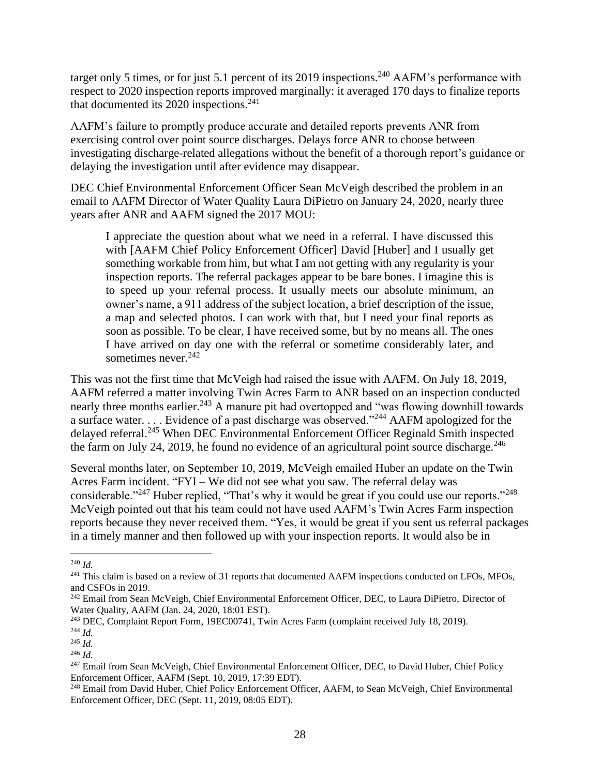target only 5 times, or for just 5.1 percent of its 2019 inspections.<sup>240</sup> AAFM's performance with respect to 2020 inspection reports improved marginally: it averaged 170 days to finalize reports that documented its 2020 inspections. 241

AAFM's failure to promptly produce accurate and detailed reports prevents ANR from exercising control over point source discharges. Delays force ANR to choose between investigating discharge-related allegations without the benefit of a thorough report's guidance or delaying the investigation until after evidence may disappear.

DEC Chief Environmental Enforcement Officer Sean McVeigh described the problem in an email to AAFM Director of Water Quality Laura DiPietro on January 24, 2020, nearly three years after ANR and AAFM signed the 2017 MOU:

I appreciate the question about what we need in a referral. I have discussed this with [AAFM Chief Policy Enforcement Officer] David [Huber] and I usually get something workable from him, but what I am not getting with any regularity is your inspection reports. The referral packages appear to be bare bones. I imagine this is to speed up your referral process. It usually meets our absolute minimum, an owner's name, a 911 address of the subject location, a brief description of the issue, a map and selected photos. I can work with that, but I need your final reports as soon as possible. To be clear, I have received some, but by no means all. The ones I have arrived on day one with the referral or sometime considerably later, and sometimes never.  $242$ 

This was not the first time that McVeigh had raised the issue with AAFM. On July 18, 2019, AAFM referred a matter involving Twin Acres Farm to ANR based on an inspection conducted nearly three months earlier.<sup>243</sup> A manure pit had overtopped and "was flowing downhill towards" a surface water. . . . Evidence of a past discharge was observed."<sup>244</sup> AAFM apologized for the delayed referral.<sup>245</sup> When DEC Environmental Enforcement Officer Reginald Smith inspected the farm on July 24, 2019, he found no evidence of an agricultural point source discharge.<sup>246</sup>

Several months later, on September 10, 2019, McVeigh emailed Huber an update on the Twin Acres Farm incident. "FYI – We did not see what you saw. The referral delay was considerable."<sup>247</sup> Huber replied, "That's why it would be great if you could use our reports."<sup>248</sup> McVeigh pointed out that his team could not have used AAFM's Twin Acres Farm inspection reports because they never received them. "Yes, it would be great if you sent us referral packages in a timely manner and then followed up with your inspection reports. It would also be in

<sup>240</sup> *Id.*

<sup>&</sup>lt;sup>241</sup> This claim is based on a review of 31 reports that documented AAFM inspections conducted on LFOs, MFOs, and CSFOs in 2019.

<sup>&</sup>lt;sup>242</sup> Email from Sean McVeigh, Chief Environmental Enforcement Officer, DEC, to Laura DiPietro, Director of Water Quality, AAFM (Jan. 24, 2020, 18:01 EST).

<sup>&</sup>lt;sup>243</sup> DEC, Complaint Report Form, 19EC00741, Twin Acres Farm (complaint received July 18, 2019).

<sup>244</sup> *Id.*

<sup>245</sup> *Id.*

<sup>246</sup> *Id.*

<sup>&</sup>lt;sup>247</sup> Email from Sean McVeigh, Chief Environmental Enforcement Officer, DEC, to David Huber, Chief Policy Enforcement Officer, AAFM (Sept. 10, 2019, 17:39 EDT).

<sup>&</sup>lt;sup>248</sup> Email from David Huber, Chief Policy Enforcement Officer, AAFM, to Sean McVeigh, Chief Environmental Enforcement Officer, DEC (Sept. 11, 2019, 08:05 EDT).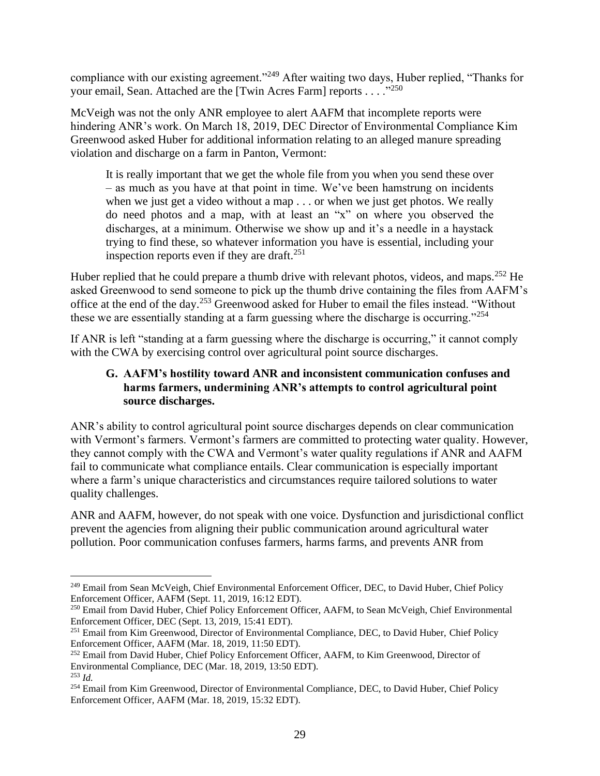compliance with our existing agreement."<sup>249</sup> After waiting two days, Huber replied, "Thanks for your email, Sean. Attached are the [Twin Acres Farm] reports . . . . . . 250

McVeigh was not the only ANR employee to alert AAFM that incomplete reports were hindering ANR's work. On March 18, 2019, DEC Director of Environmental Compliance Kim Greenwood asked Huber for additional information relating to an alleged manure spreading violation and discharge on a farm in Panton, Vermont:

It is really important that we get the whole file from you when you send these over – as much as you have at that point in time. We've been hamstrung on incidents when we just get a video without a map . . . or when we just get photos. We really do need photos and a map, with at least an "x" on where you observed the discharges, at a minimum. Otherwise we show up and it's a needle in a haystack trying to find these, so whatever information you have is essential, including your inspection reports even if they are draft.<sup>251</sup>

Huber replied that he could prepare a thumb drive with relevant photos, videos, and maps.<sup>252</sup> He asked Greenwood to send someone to pick up the thumb drive containing the files from AAFM's office at the end of the day.<sup>253</sup> Greenwood asked for Huber to email the files instead. "Without these we are essentially standing at a farm guessing where the discharge is occurring."<sup>254</sup>

<span id="page-31-0"></span>If ANR is left "standing at a farm guessing where the discharge is occurring," it cannot comply with the CWA by exercising control over agricultural point source discharges.

## **G. AAFM's hostility toward ANR and inconsistent communication confuses and harms farmers, undermining ANR's attempts to control agricultural point source discharges.**

ANR's ability to control agricultural point source discharges depends on clear communication with Vermont's farmers. Vermont's farmers are committed to protecting water quality. However, they cannot comply with the CWA and Vermont's water quality regulations if ANR and AAFM fail to communicate what compliance entails. Clear communication is especially important where a farm's unique characteristics and circumstances require tailored solutions to water quality challenges.

ANR and AAFM, however, do not speak with one voice. Dysfunction and jurisdictional conflict prevent the agencies from aligning their public communication around agricultural water pollution. Poor communication confuses farmers, harms farms, and prevents ANR from

<sup>&</sup>lt;sup>249</sup> Email from Sean McVeigh, Chief Environmental Enforcement Officer, DEC, to David Huber, Chief Policy Enforcement Officer, AAFM (Sept. 11, 2019, 16:12 EDT).

<sup>250</sup> Email from David Huber, Chief Policy Enforcement Officer, AAFM, to Sean McVeigh, Chief Environmental Enforcement Officer, DEC (Sept. 13, 2019, 15:41 EDT).

<sup>&</sup>lt;sup>251</sup> Email from Kim Greenwood, Director of Environmental Compliance, DEC, to David Huber, Chief Policy Enforcement Officer, AAFM (Mar. 18, 2019, 11:50 EDT).

<sup>&</sup>lt;sup>252</sup> Email from David Huber, Chief Policy Enforcement Officer, AAFM, to Kim Greenwood, Director of Environmental Compliance, DEC (Mar. 18, 2019, 13:50 EDT). <sup>253</sup> *Id.*

<sup>&</sup>lt;sup>254</sup> Email from Kim Greenwood, Director of Environmental Compliance, DEC, to David Huber, Chief Policy Enforcement Officer, AAFM (Mar. 18, 2019, 15:32 EDT).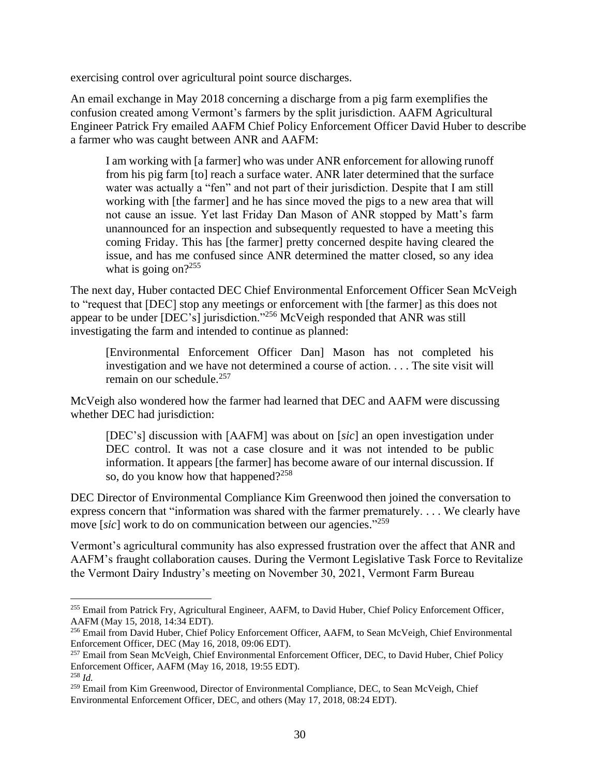exercising control over agricultural point source discharges.

An email exchange in May 2018 concerning a discharge from a pig farm exemplifies the confusion created among Vermont's farmers by the split jurisdiction. AAFM Agricultural Engineer Patrick Fry emailed AAFM Chief Policy Enforcement Officer David Huber to describe a farmer who was caught between ANR and AAFM:

I am working with [a farmer] who was under ANR enforcement for allowing runoff from his pig farm [to] reach a surface water. ANR later determined that the surface water was actually a "fen" and not part of their jurisdiction. Despite that I am still working with [the farmer] and he has since moved the pigs to a new area that will not cause an issue. Yet last Friday Dan Mason of ANR stopped by Matt's farm unannounced for an inspection and subsequently requested to have a meeting this coming Friday. This has [the farmer] pretty concerned despite having cleared the issue, and has me confused since ANR determined the matter closed, so any idea what is going on? $255$ 

The next day, Huber contacted DEC Chief Environmental Enforcement Officer Sean McVeigh to "request that [DEC] stop any meetings or enforcement with [the farmer] as this does not appear to be under [DEC's] jurisdiction."<sup>256</sup> McVeigh responded that ANR was still investigating the farm and intended to continue as planned:

[Environmental Enforcement Officer Dan] Mason has not completed his investigation and we have not determined a course of action. . . . The site visit will remain on our schedule. $257$ 

McVeigh also wondered how the farmer had learned that DEC and AAFM were discussing whether DEC had jurisdiction:

[DEC's] discussion with [AAFM] was about on [*sic*] an open investigation under DEC control. It was not a case closure and it was not intended to be public information. It appears [the farmer] has become aware of our internal discussion. If so, do you know how that happened?<sup>258</sup>

DEC Director of Environmental Compliance Kim Greenwood then joined the conversation to express concern that "information was shared with the farmer prematurely. . . . We clearly have move [*sic*] work to do on communication between our agencies." 259

Vermont's agricultural community has also expressed frustration over the affect that ANR and AAFM's fraught collaboration causes. During the Vermont Legislative Task Force to Revitalize the Vermont Dairy Industry's meeting on November 30, 2021, Vermont Farm Bureau

<sup>&</sup>lt;sup>255</sup> Email from Patrick Fry, Agricultural Engineer, AAFM, to David Huber, Chief Policy Enforcement Officer, AAFM (May 15, 2018, 14:34 EDT).

<sup>256</sup> Email from David Huber, Chief Policy Enforcement Officer, AAFM, to Sean McVeigh, Chief Environmental Enforcement Officer, DEC (May 16, 2018, 09:06 EDT).

<sup>&</sup>lt;sup>257</sup> Email from Sean McVeigh, Chief Environmental Enforcement Officer, DEC, to David Huber, Chief Policy Enforcement Officer, AAFM (May 16, 2018, 19:55 EDT). <sup>258</sup> *Id.*

<sup>&</sup>lt;sup>259</sup> Email from Kim Greenwood, Director of Environmental Compliance, DEC, to Sean McVeigh, Chief Environmental Enforcement Officer, DEC, and others (May 17, 2018, 08:24 EDT).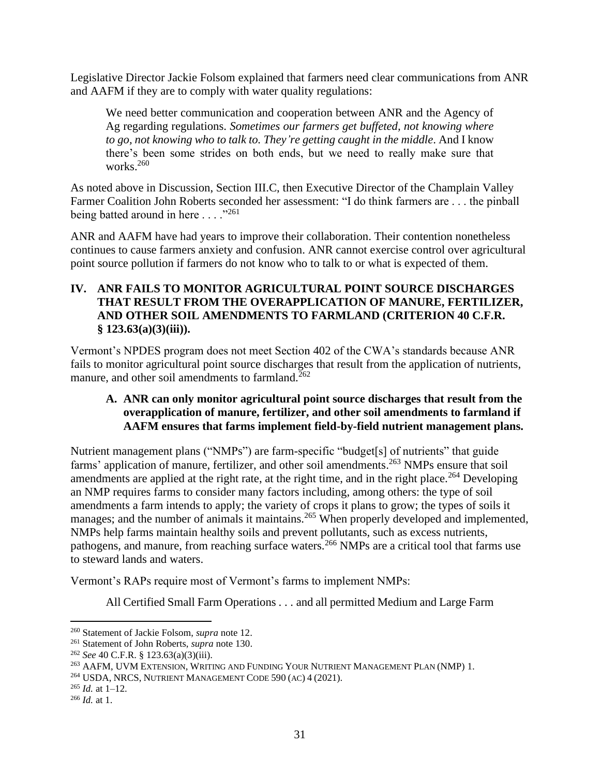Legislative Director Jackie Folsom explained that farmers need clear communications from ANR and AAFM if they are to comply with water quality regulations:

We need better communication and cooperation between ANR and the Agency of Ag regarding regulations. *Sometimes our farmers get buffeted, not knowing where to go, not knowing who to talk to. They're getting caught in the middle*. And I know there's been some strides on both ends, but we need to really make sure that works.<sup>260</sup>

As noted above in Discussion, Section III.C, then Executive Director of the Champlain Valley Farmer Coalition John Roberts seconded her assessment: "I do think farmers are . . . the pinball being batted around in here  $\dots$  ...<sup>1261</sup>

ANR and AAFM have had years to improve their collaboration. Their contention nonetheless continues to cause farmers anxiety and confusion. ANR cannot exercise control over agricultural point source pollution if farmers do not know who to talk to or what is expected of them.

### <span id="page-33-0"></span>**IV. ANR FAILS TO MONITOR AGRICULTURAL POINT SOURCE DISCHARGES THAT RESULT FROM THE OVERAPPLICATION OF MANURE, FERTILIZER, AND OTHER SOIL AMENDMENTS TO FARMLAND (CRITERION 40 C.F.R. § 123.63(a)(3)(iii)).**

Vermont's NPDES program does not meet Section 402 of the CWA's standards because ANR fails to monitor agricultural point source discharges that result from the application of nutrients, manure, and other soil amendments to farmland. $262$ 

## <span id="page-33-1"></span>**A. ANR can only monitor agricultural point source discharges that result from the overapplication of manure, fertilizer, and other soil amendments to farmland if AAFM ensures that farms implement field-by-field nutrient management plans.**

Nutrient management plans ("NMPs") are farm-specific "budget[s] of nutrients" that guide farms' application of manure, fertilizer, and other soil amendments.<sup>263</sup> NMPs ensure that soil amendments are applied at the right rate, at the right time, and in the right place.<sup>264</sup> Developing an NMP requires farms to consider many factors including, among others: the type of soil amendments a farm intends to apply; the variety of crops it plans to grow; the types of soils it manages; and the number of animals it maintains.<sup>265</sup> When properly developed and implemented, NMPs help farms maintain healthy soils and prevent pollutants, such as excess nutrients, pathogens, and manure, from reaching surface waters.<sup>266</sup> NMPs are a critical tool that farms use to steward lands and waters.

Vermont's RAPs require most of Vermont's farms to implement NMPs:

All Certified Small Farm Operations . . . and all permitted Medium and Large Farm

<sup>264</sup> USDA, NRCS, NUTRIENT MANAGEMENT CODE 590 (AC) 4 (2021).

<sup>260</sup> Statement of Jackie Folsom, *supra* note [12.](#page-4-1)

<sup>261</sup> Statement of John Roberts, *supra* note [130.](#page-19-1)

<sup>262</sup> *See* 40 C.F.R. § 123.63(a)(3)(iii).

<sup>263</sup> AAFM, UVM EXTENSION, WRITING AND FUNDING YOUR NUTRIENT MANAGEMENT PLAN (NMP) 1.

<sup>265</sup> *Id.* at 1–12.

<sup>266</sup> *Id.* at 1.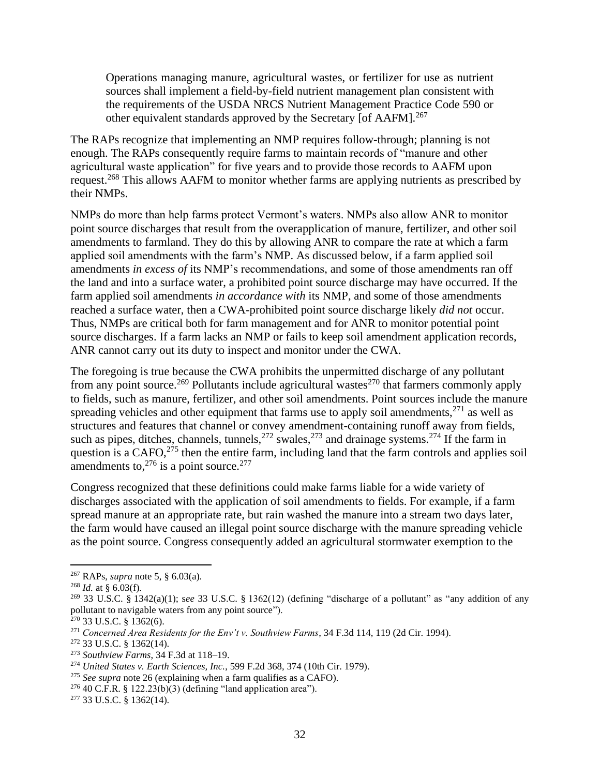Operations managing manure, agricultural wastes, or fertilizer for use as nutrient sources shall implement a field-by-field nutrient management plan consistent with the requirements of the USDA NRCS Nutrient Management Practice Code 590 or other equivalent standards approved by the Secretary [of AAFM].<sup>267</sup>

The RAPs recognize that implementing an NMP requires follow-through; planning is not enough. The RAPs consequently require farms to maintain records of "manure and other agricultural waste application" for five years and to provide those records to AAFM upon request.<sup>268</sup> This allows AAFM to monitor whether farms are applying nutrients as prescribed by their NMPs.

NMPs do more than help farms protect Vermont's waters. NMPs also allow ANR to monitor point source discharges that result from the overapplication of manure, fertilizer, and other soil amendments to farmland. They do this by allowing ANR to compare the rate at which a farm applied soil amendments with the farm's NMP. As discussed below, if a farm applied soil amendments *in excess of* its NMP's recommendations, and some of those amendments ran off the land and into a surface water, a prohibited point source discharge may have occurred. If the farm applied soil amendments *in accordance with* its NMP, and some of those amendments reached a surface water, then a CWA-prohibited point source discharge likely *did not* occur. Thus, NMPs are critical both for farm management and for ANR to monitor potential point source discharges. If a farm lacks an NMP or fails to keep soil amendment application records, ANR cannot carry out its duty to inspect and monitor under the CWA.

The foregoing is true because the CWA prohibits the unpermitted discharge of any pollutant from any point source.<sup>269</sup> Pollutants include agricultural wastes<sup>270</sup> that farmers commonly apply to fields, such as manure, fertilizer, and other soil amendments. Point sources include the manure spreading vehicles and other equipment that farms use to apply soil amendments, $271$  as well as structures and features that channel or convey amendment-containing runoff away from fields, such as pipes, ditches, channels, tunnels,  $272$  swales,  $273$  and drainage systems.  $274$  If the farm in question is a CAFO,<sup>275</sup> then the entire farm, including land that the farm controls and applies soil amendments to, $276$  is a point source. $277$ 

Congress recognized that these definitions could make farms liable for a wide variety of discharges associated with the application of soil amendments to fields. For example, if a farm spread manure at an appropriate rate, but rain washed the manure into a stream two days later, the farm would have caused an illegal point source discharge with the manure spreading vehicle as the point source. Congress consequently added an agricultural stormwater exemption to the

<sup>267</sup> RAPs, *supra* not[e 5,](#page-3-1) § 6.03(a).

<sup>268</sup> *Id.* at § 6.03(f).

<sup>269</sup> 33 U.S.C. § 1342(a)(1); s*ee* 33 U.S.C. § 1362(12) (defining "discharge of a pollutant" as "any addition of any pollutant to navigable waters from any point source").

 $270$  33 U.S.C. § 1362(6).

<sup>271</sup> *Concerned Area Residents for the Env't v. Southview Farms*, 34 F.3d 114, 119 (2d Cir. 1994).

<sup>272</sup> 33 U.S.C. § 1362(14).

<sup>273</sup> *Southview Farms*, 34 F.3d at 118–19.

<sup>274</sup> *United States v. Earth Sciences, Inc.*, 599 F.2d 368, 374 (10th Cir. 1979).

<sup>275</sup> *See supra* not[e 26](#page-5-3) (explaining when a farm qualifies as a CAFO).

 $276$  40 C.F.R. § 122.23(b)(3) (defining "land application area").

<sup>277</sup> 33 U.S.C. § 1362(14).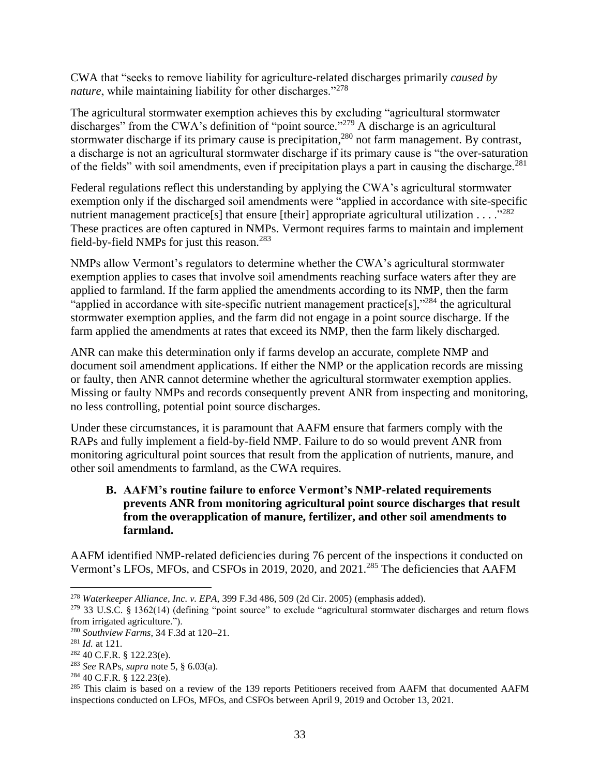CWA that "seeks to remove liability for agriculture-related discharges primarily *caused by nature*, while maintaining liability for other discharges."<sup>278</sup>

The agricultural stormwater exemption achieves this by excluding "agricultural stormwater discharges" from the CWA's definition of "point source."<sup>279</sup> A discharge is an agricultural stormwater discharge if its primary cause is precipitation,<sup>280</sup> not farm management. By contrast, a discharge is not an agricultural stormwater discharge if its primary cause is "the over-saturation of the fields" with soil amendments, even if precipitation plays a part in causing the discharge.<sup>281</sup>

Federal regulations reflect this understanding by applying the CWA's agricultural stormwater exemption only if the discharged soil amendments were "applied in accordance with site-specific nutrient management practice[s] that ensure [their] appropriate agricultural utilization  $\dots$ <sup>282</sup> These practices are often captured in NMPs. Vermont requires farms to maintain and implement field-by-field NMPs for just this reason.<sup>283</sup>

NMPs allow Vermont's regulators to determine whether the CWA's agricultural stormwater exemption applies to cases that involve soil amendments reaching surface waters after they are applied to farmland. If the farm applied the amendments according to its NMP, then the farm "applied in accordance with site-specific nutrient management practice[s],"<sup>284</sup> the agricultural stormwater exemption applies, and the farm did not engage in a point source discharge. If the farm applied the amendments at rates that exceed its NMP, then the farm likely discharged.

ANR can make this determination only if farms develop an accurate, complete NMP and document soil amendment applications. If either the NMP or the application records are missing or faulty, then ANR cannot determine whether the agricultural stormwater exemption applies. Missing or faulty NMPs and records consequently prevent ANR from inspecting and monitoring, no less controlling, potential point source discharges.

Under these circumstances, it is paramount that AAFM ensure that farmers comply with the RAPs and fully implement a field-by-field NMP. Failure to do so would prevent ANR from monitoring agricultural point sources that result from the application of nutrients, manure, and other soil amendments to farmland, as the CWA requires.

## <span id="page-35-0"></span>**B. AAFM's routine failure to enforce Vermont's NMP-related requirements prevents ANR from monitoring agricultural point source discharges that result from the overapplication of manure, fertilizer, and other soil amendments to farmland.**

AAFM identified NMP-related deficiencies during 76 percent of the inspections it conducted on Vermont's LFOs, MFOs, and CSFOs in 2019, 2020, and 2021.<sup>285</sup> The deficiencies that AAFM

<sup>278</sup> *Waterkeeper Alliance, Inc. v. EPA,* 399 F.3d 486, 509 (2d Cir. 2005) (emphasis added).

 $279$  33 U.S.C. § 1362(14) (defining "point source" to exclude "agricultural stormwater discharges and return flows from irrigated agriculture.").

<sup>280</sup> *Southview Farms*, 34 F.3d at 120–21.

<sup>281</sup> *Id.* at 121.

<sup>282</sup> 40 C.F.R. § 122.23(e).

<sup>283</sup> *See* RAPs, *supra* note [5,](#page-3-1) § 6.03(a).

<sup>284</sup> 40 C.F.R. § 122.23(e).

<sup>&</sup>lt;sup>285</sup> This claim is based on a review of the 139 reports Petitioners received from AAFM that documented AAFM inspections conducted on LFOs, MFOs, and CSFOs between April 9, 2019 and October 13, 2021.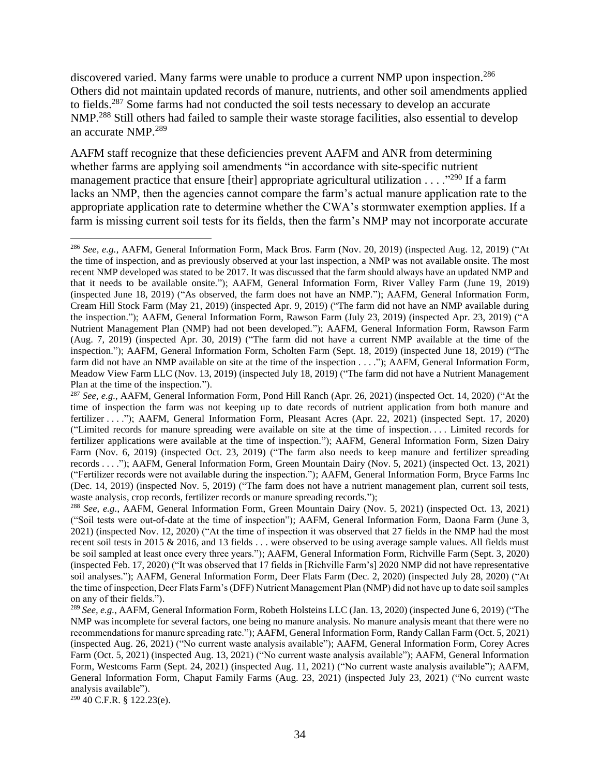discovered varied. Many farms were unable to produce a current NMP upon inspection.<sup>286</sup> Others did not maintain updated records of manure, nutrients, and other soil amendments applied to fields.<sup>287</sup> Some farms had not conducted the soil tests necessary to develop an accurate NMP<sup>288</sup> Still others had failed to sample their waste storage facilities, also essential to develop an accurate NMP.<sup>289</sup>

AAFM staff recognize that these deficiencies prevent AAFM and ANR from determining whether farms are applying soil amendments "in accordance with site-specific nutrient management practice that ensure [their] appropriate agricultural utilization . . . .<sup>"290</sup> If a farm lacks an NMP, then the agencies cannot compare the farm's actual manure application rate to the appropriate application rate to determine whether the CWA's stormwater exemption applies. If a farm is missing current soil tests for its fields, then the farm's NMP may not incorporate accurate

<sup>286</sup> *See, e.g.*, AAFM, General Information Form, Mack Bros. Farm (Nov. 20, 2019) (inspected Aug. 12, 2019) ("At the time of inspection, and as previously observed at your last inspection, a NMP was not available onsite. The most recent NMP developed was stated to be 2017. It was discussed that the farm should always have an updated NMP and that it needs to be available onsite."); AAFM, General Information Form, River Valley Farm (June 19, 2019) (inspected June 18, 2019) ("As observed, the farm does not have an NMP."); AAFM, General Information Form, Cream Hill Stock Farm (May 21, 2019) (inspected Apr. 9, 2019) ("The farm did not have an NMP available during the inspection."); AAFM, General Information Form, Rawson Farm (July 23, 2019) (inspected Apr. 23, 2019) ("A Nutrient Management Plan (NMP) had not been developed."); AAFM, General Information Form, Rawson Farm (Aug. 7, 2019) (inspected Apr. 30, 2019) ("The farm did not have a current NMP available at the time of the inspection."); AAFM, General Information Form, Scholten Farm (Sept. 18, 2019) (inspected June 18, 2019) ("The farm did not have an NMP available on site at the time of the inspection . . . ."); AAFM, General Information Form, Meadow View Farm LLC (Nov. 13, 2019) (inspected July 18, 2019) ("The farm did not have a Nutrient Management Plan at the time of the inspection.").

<sup>287</sup> *See, e.g.*, AAFM, General Information Form, Pond Hill Ranch (Apr. 26, 2021) (inspected Oct. 14, 2020) ("At the time of inspection the farm was not keeping up to date records of nutrient application from both manure and fertilizer . . . ."); AAFM, General Information Form, Pleasant Acres (Apr. 22, 2021) (inspected Sept. 17, 2020) ("Limited records for manure spreading were available on site at the time of inspection. . . . Limited records for fertilizer applications were available at the time of inspection."); AAFM, General Information Form, Sizen Dairy Farm (Nov. 6, 2019) (inspected Oct. 23, 2019) ("The farm also needs to keep manure and fertilizer spreading records . . . ."); AAFM, General Information Form, Green Mountain Dairy (Nov. 5, 2021) (inspected Oct. 13, 2021) ("Fertilizer records were not available during the inspection."); AAFM, General Information Form, Bryce Farms Inc (Dec. 14, 2019) (inspected Nov. 5, 2019) ("The farm does not have a nutrient management plan, current soil tests, waste analysis, crop records, fertilizer records or manure spreading records.");

<sup>288</sup> *See, e.g.*, AAFM, General Information Form, Green Mountain Dairy (Nov. 5, 2021) (inspected Oct. 13, 2021) ("Soil tests were out-of-date at the time of inspection"); AAFM, General Information Form, Daona Farm (June 3, 2021) (inspected Nov. 12, 2020) ("At the time of inspection it was observed that 27 fields in the NMP had the most recent soil tests in 2015 & 2016, and 13 fields . . . were observed to be using average sample values. All fields must be soil sampled at least once every three years."); AAFM, General Information Form, Richville Farm (Sept. 3, 2020) (inspected Feb. 17, 2020) ("It was observed that 17 fields in [Richville Farm's] 2020 NMP did not have representative soil analyses."); AAFM, General Information Form, Deer Flats Farm (Dec. 2, 2020) (inspected July 28, 2020) ("At the time of inspection, Deer Flats Farm's (DFF) Nutrient Management Plan (NMP) did not have up to date soil samples on any of their fields.").

<sup>289</sup> *See, e.g.*, AAFM, General Information Form, Robeth Holsteins LLC (Jan. 13, 2020) (inspected June 6, 2019) ("The NMP was incomplete for several factors, one being no manure analysis. No manure analysis meant that there were no recommendations for manure spreading rate."); AAFM, General Information Form, Randy Callan Farm (Oct. 5, 2021) (inspected Aug. 26, 2021) ("No current waste analysis available"); AAFM, General Information Form, Corey Acres Farm (Oct. 5, 2021) (inspected Aug. 13, 2021) ("No current waste analysis available"); AAFM, General Information Form, Westcoms Farm (Sept. 24, 2021) (inspected Aug. 11, 2021) ("No current waste analysis available"); AAFM, General Information Form, Chaput Family Farms (Aug. 23, 2021) (inspected July 23, 2021) ("No current waste analysis available").

<sup>290</sup> 40 C.F.R. § 122.23(e).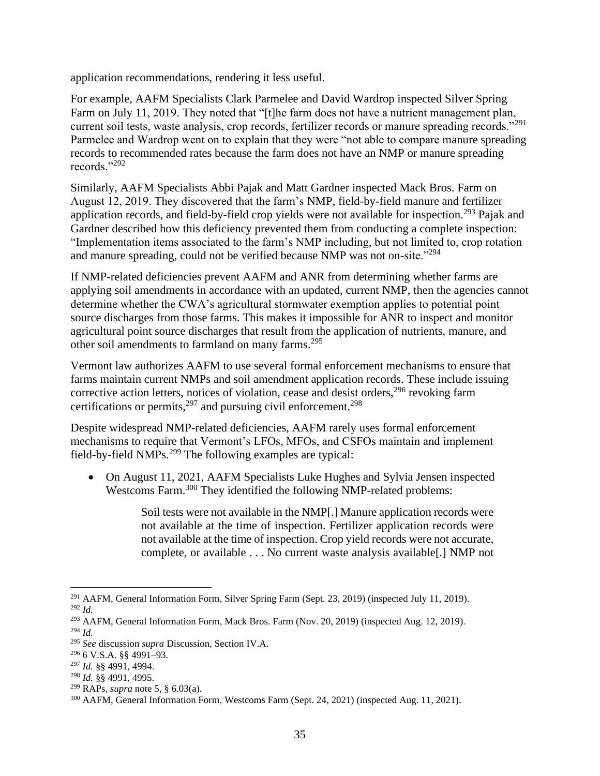application recommendations, rendering it less useful.

For example, AAFM Specialists Clark Parmelee and David Wardrop inspected Silver Spring Farm on July 11, 2019. They noted that "[t]he farm does not have a nutrient management plan, current soil tests, waste analysis, crop records, fertilizer records or manure spreading records."<sup>291</sup> Parmelee and Wardrop went on to explain that they were "not able to compare manure spreading records to recommended rates because the farm does not have an NMP or manure spreading records."<sup>292</sup>

Similarly, AAFM Specialists Abbi Pajak and Matt Gardner inspected Mack Bros. Farm on August 12, 2019. They discovered that the farm's NMP, field-by-field manure and fertilizer application records, and field-by-field crop yields were not available for inspection.<sup>293</sup> Pajak and Gardner described how this deficiency prevented them from conducting a complete inspection: "Implementation items associated to the farm's NMP including, but not limited to, crop rotation and manure spreading, could not be verified because NMP was not on-site."<sup>294</sup>

If NMP-related deficiencies prevent AAFM and ANR from determining whether farms are applying soil amendments in accordance with an updated, current NMP, then the agencies cannot determine whether the CWA's agricultural stormwater exemption applies to potential point source discharges from those farms. This makes it impossible for ANR to inspect and monitor agricultural point source discharges that result from the application of nutrients, manure, and other soil amendments to farmland on many farms.<sup>295</sup>

Vermont law authorizes AAFM to use several formal enforcement mechanisms to ensure that farms maintain current NMPs and soil amendment application records. These include issuing corrective action letters, notices of violation, cease and desist orders,  $296$  revoking farm certifications or permits,  $297$  and pursuing civil enforcement.  $298$ 

Despite widespread NMP-related deficiencies, AAFM rarely uses formal enforcement mechanisms to require that Vermont's LFOs, MFOs, and CSFOs maintain and implement field-by-field NMPs.<sup>299</sup> The following examples are typical:

• On August 11, 2021, AAFM Specialists Luke Hughes and Sylvia Jensen inspected Westcoms Farm.<sup>300</sup> They identified the following NMP-related problems:

> Soil tests were not available in the NMP[.] Manure application records were not available at the time of inspection. Fertilizer application records were not available at the time of inspection. Crop yield records were not accurate, complete, or available . . . No current waste analysis available[.] NMP not

<sup>&</sup>lt;sup>291</sup> AAFM, General Information Form, Silver Spring Farm (Sept. 23, 2019) (inspected July 11, 2019). <sup>292</sup> *Id.*

<sup>&</sup>lt;sup>293</sup> AAFM, General Information Form, Mack Bros. Farm (Nov. 20, 2019) (inspected Aug. 12, 2019). <sup>294</sup> *Id.*

<sup>295</sup> *See* discussion *supra* Discussion, Sectio[n IV](#page-33-0)[.A.](#page-33-1)

<sup>296</sup> 6 V.S.A. §§ 4991–93.

<sup>297</sup> *Id.* §§ 4991, 4994.

<sup>298</sup> *Id.* §§ 4991, 4995.

<sup>299</sup> RAPs, *supra* not[e 5,](#page-3-1) § 6.03(a).

<sup>300</sup> AAFM, General Information Form, Westcoms Farm (Sept. 24, 2021) (inspected Aug. 11, 2021).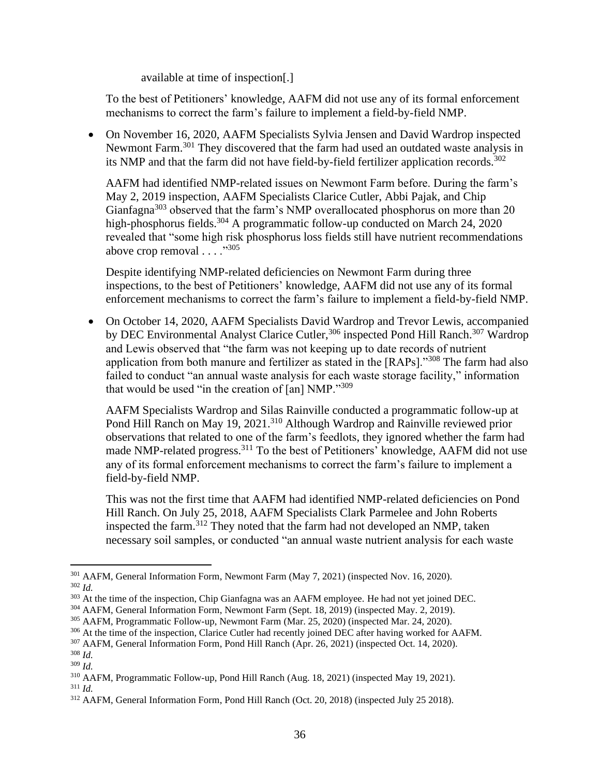available at time of inspection[.]

To the best of Petitioners' knowledge, AAFM did not use any of its formal enforcement mechanisms to correct the farm's failure to implement a field-by-field NMP.

• On November 16, 2020, AAFM Specialists Sylvia Jensen and David Wardrop inspected Newmont Farm.<sup>301</sup> They discovered that the farm had used an outdated waste analysis in its NMP and that the farm did not have field-by-field fertilizer application records.<sup>302</sup>

AAFM had identified NMP-related issues on Newmont Farm before. During the farm's May 2, 2019 inspection, AAFM Specialists Clarice Cutler, Abbi Pajak, and Chip Gianfagna<sup>303</sup> observed that the farm's NMP overallocated phosphorus on more than 20 high-phosphorus fields.<sup>304</sup> A programmatic follow-up conducted on March 24, 2020 revealed that "some high risk phosphorus loss fields still have nutrient recommendations above crop removal . . . ."<sup>305</sup>

Despite identifying NMP-related deficiencies on Newmont Farm during three inspections, to the best of Petitioners' knowledge, AAFM did not use any of its formal enforcement mechanisms to correct the farm's failure to implement a field-by-field NMP.

• On October 14, 2020, AAFM Specialists David Wardrop and Trevor Lewis, accompanied by DEC Environmental Analyst Clarice Cutler,<sup>306</sup> inspected Pond Hill Ranch.<sup>307</sup> Wardrop and Lewis observed that "the farm was not keeping up to date records of nutrient application from both manure and fertilizer as stated in the [RAPs]."<sup>308</sup> The farm had also failed to conduct "an annual waste analysis for each waste storage facility," information that would be used "in the creation of [an] NMP."309

AAFM Specialists Wardrop and Silas Rainville conducted a programmatic follow-up at Pond Hill Ranch on May 19, 2021.<sup>310</sup> Although Wardrop and Rainville reviewed prior observations that related to one of the farm's feedlots, they ignored whether the farm had made NMP-related progress.<sup>311</sup> To the best of Petitioners' knowledge, AAFM did not use any of its formal enforcement mechanisms to correct the farm's failure to implement a field-by-field NMP.

This was not the first time that AAFM had identified NMP-related deficiencies on Pond Hill Ranch. On July 25, 2018, AAFM Specialists Clark Parmelee and John Roberts inspected the farm.<sup>312</sup> They noted that the farm had not developed an NMP, taken necessary soil samples, or conducted "an annual waste nutrient analysis for each waste

<sup>301</sup> AAFM, General Information Form, Newmont Farm (May 7, 2021) (inspected Nov. 16, 2020). <sup>302</sup> *Id.*

<sup>&</sup>lt;sup>303</sup> At the time of the inspection, Chip Gianfagna was an AAFM employee. He had not yet joined DEC.

<sup>304</sup> AAFM, General Information Form, Newmont Farm (Sept. 18, 2019) (inspected May. 2, 2019).

<sup>305</sup> AAFM, Programmatic Follow-up, Newmont Farm (Mar. 25, 2020) (inspected Mar. 24, 2020).

<sup>&</sup>lt;sup>306</sup> At the time of the inspection, Clarice Cutler had recently joined DEC after having worked for AAFM.

<sup>307</sup> AAFM, General Information Form, Pond Hill Ranch (Apr. 26, 2021) (inspected Oct. 14, 2020).

<sup>308</sup> *Id.*

<sup>309</sup> *Id.*

<sup>310</sup> AAFM, Programmatic Follow-up, Pond Hill Ranch (Aug. 18, 2021) (inspected May 19, 2021).

<sup>311</sup> *Id.*

<sup>312</sup> AAFM, General Information Form, Pond Hill Ranch (Oct. 20, 2018) (inspected July 25 2018).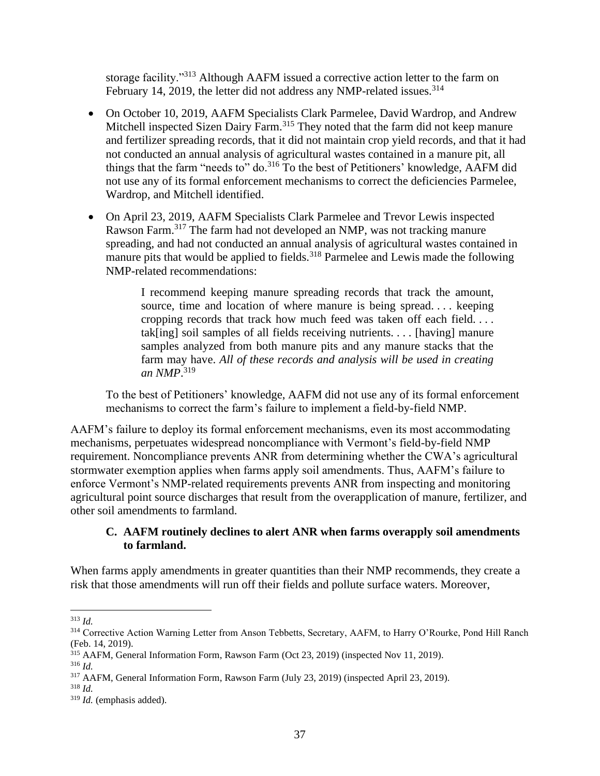storage facility."<sup>313</sup> Although AAFM issued a corrective action letter to the farm on February 14, 2019, the letter did not address any NMP-related issues.<sup>314</sup>

- On October 10, 2019, AAFM Specialists Clark Parmelee, David Wardrop, and Andrew Mitchell inspected Sizen Dairy Farm.<sup>315</sup> They noted that the farm did not keep manure and fertilizer spreading records, that it did not maintain crop yield records, and that it had not conducted an annual analysis of agricultural wastes contained in a manure pit, all things that the farm "needs to" do.<sup>316</sup> To the best of Petitioners' knowledge, AAFM did not use any of its formal enforcement mechanisms to correct the deficiencies Parmelee, Wardrop, and Mitchell identified.
- On April 23, 2019, AAFM Specialists Clark Parmelee and Trevor Lewis inspected Rawson Farm.<sup>317</sup> The farm had not developed an NMP, was not tracking manure spreading, and had not conducted an annual analysis of agricultural wastes contained in manure pits that would be applied to fields.<sup>318</sup> Parmelee and Lewis made the following NMP-related recommendations:

I recommend keeping manure spreading records that track the amount, source, time and location of where manure is being spread. . . . keeping cropping records that track how much feed was taken off each field. . . . tak[ing] soil samples of all fields receiving nutrients. . . . [having] manure samples analyzed from both manure pits and any manure stacks that the farm may have. *All of these records and analysis will be used in creating an NMP*. 319

To the best of Petitioners' knowledge, AAFM did not use any of its formal enforcement mechanisms to correct the farm's failure to implement a field-by-field NMP.

AAFM's failure to deploy its formal enforcement mechanisms, even its most accommodating mechanisms, perpetuates widespread noncompliance with Vermont's field-by-field NMP requirement. Noncompliance prevents ANR from determining whether the CWA's agricultural stormwater exemption applies when farms apply soil amendments. Thus, AAFM's failure to enforce Vermont's NMP-related requirements prevents ANR from inspecting and monitoring agricultural point source discharges that result from the overapplication of manure, fertilizer, and other soil amendments to farmland.

## <span id="page-39-0"></span>**C. AAFM routinely declines to alert ANR when farms overapply soil amendments to farmland.**

When farms apply amendments in greater quantities than their NMP recommends, they create a risk that those amendments will run off their fields and pollute surface waters. Moreover,

<sup>313</sup> *Id.*

<sup>&</sup>lt;sup>314</sup> Corrective Action Warning Letter from Anson Tebbetts, Secretary, AAFM, to Harry O'Rourke, Pond Hill Ranch (Feb. 14, 2019).

<sup>315</sup> AAFM, General Information Form, Rawson Farm (Oct 23, 2019) (inspected Nov 11, 2019). <sup>316</sup> *Id.*

<sup>317</sup> AAFM, General Information Form, Rawson Farm (July 23, 2019) (inspected April 23, 2019).

<sup>318</sup> *Id.*

<sup>319</sup> *Id.* (emphasis added).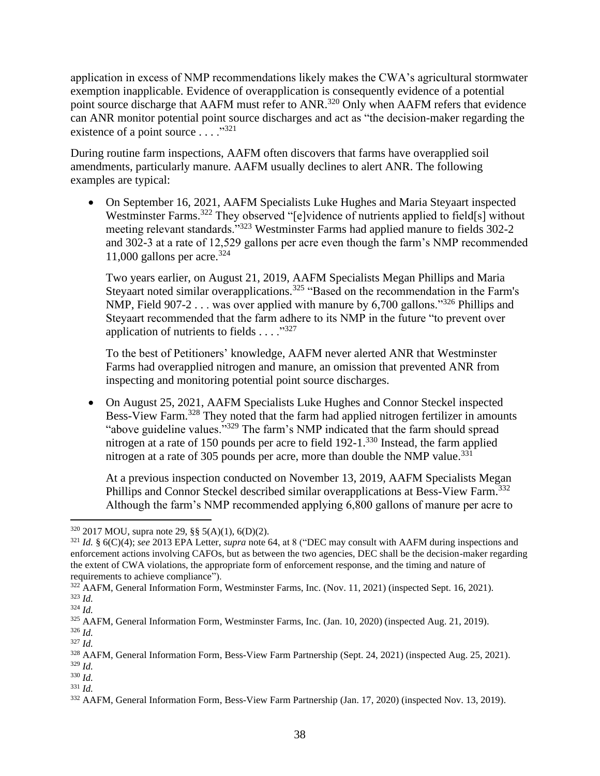application in excess of NMP recommendations likely makes the CWA's agricultural stormwater exemption inapplicable. Evidence of overapplication is consequently evidence of a potential point source discharge that AAFM must refer to ANR.<sup>320</sup> Only when AAFM refers that evidence can ANR monitor potential point source discharges and act as "the decision-maker regarding the existence of a point source  $\dots$  ..."<sup>321</sup>

During routine farm inspections, AAFM often discovers that farms have overapplied soil amendments, particularly manure. AAFM usually declines to alert ANR. The following examples are typical:

• On September 16, 2021, AAFM Specialists Luke Hughes and Maria Steyaart inspected Westminster Farms.<sup>322</sup> They observed "[e]vidence of nutrients applied to field[s] without meeting relevant standards."<sup>323</sup> Westminster Farms had applied manure to fields 302-2 and 302-3 at a rate of 12,529 gallons per acre even though the farm's NMP recommended 11,000 gallons per acre.<sup>324</sup>

Two years earlier, on August 21, 2019, AAFM Specialists Megan Phillips and Maria Steyaart noted similar overapplications.<sup>325</sup> "Based on the recommendation in the Farm's NMP, Field 907-2  $\ldots$  was over applied with manure by 6,700 gallons."<sup>326</sup> Phillips and Steyaart recommended that the farm adhere to its NMP in the future "to prevent over application of nutrients to fields  $\dots$ ."327

To the best of Petitioners' knowledge, AAFM never alerted ANR that Westminster Farms had overapplied nitrogen and manure, an omission that prevented ANR from inspecting and monitoring potential point source discharges.

• On August 25, 2021, AAFM Specialists Luke Hughes and Connor Steckel inspected Bess-View Farm.<sup>328</sup> They noted that the farm had applied nitrogen fertilizer in amounts "above guideline values."<sup>329</sup> The farm's NMP indicated that the farm should spread nitrogen at a rate of 150 pounds per acre to field 192-1.<sup>330</sup> Instead, the farm applied nitrogen at a rate of 305 pounds per acre, more than double the NMP value.<sup>331</sup>

At a previous inspection conducted on November 13, 2019, AAFM Specialists Megan Phillips and Connor Steckel described similar overapplications at Bess-View Farm.<sup>332</sup> Although the farm's NMP recommended applying 6,800 gallons of manure per acre to

 $320$  2017 MOU, supra note 29, §§ 5(A)(1), 6(D)(2).

<sup>321</sup> *Id.* § 6(C)(4); *see* 2013 EPA Letter, *supra* note [64,](#page-8-1) at 8 ("DEC may consult with AAFM during inspections and enforcement actions involving CAFOs, but as between the two agencies, DEC shall be the decision-maker regarding the extent of CWA violations, the appropriate form of enforcement response, and the timing and nature of requirements to achieve compliance").

<sup>&</sup>lt;sup>322</sup> AAFM, General Information Form, Westminster Farms, Inc. (Nov. 11, 2021) (inspected Sept. 16, 2021). <sup>323</sup> *Id.*

<sup>324</sup> *Id.*

<sup>325</sup> AAFM, General Information Form, Westminster Farms, Inc. (Jan. 10, 2020) (inspected Aug. 21, 2019).

<sup>326</sup> *Id.*

<sup>327</sup> *Id.*

<sup>328</sup> AAFM, General Information Form, Bess-View Farm Partnership (Sept. 24, 2021) (inspected Aug. 25, 2021). <sup>329</sup> *Id.*

<sup>330</sup> *Id.*

<sup>331</sup> *Id.*

<sup>332</sup> AAFM, General Information Form, Bess-View Farm Partnership (Jan. 17, 2020) (inspected Nov. 13, 2019).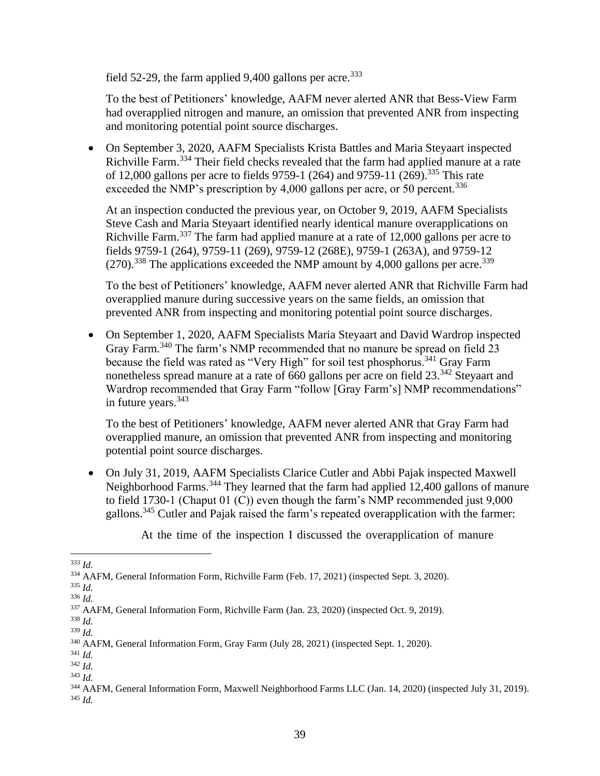field 52-29, the farm applied 9,400 gallons per acre.<sup>333</sup>

To the best of Petitioners' knowledge, AAFM never alerted ANR that Bess-View Farm had overapplied nitrogen and manure, an omission that prevented ANR from inspecting and monitoring potential point source discharges.

• On September 3, 2020, AAFM Specialists Krista Battles and Maria Steyaart inspected Richville Farm.<sup>334</sup> Their field checks revealed that the farm had applied manure at a rate of 12,000 gallons per acre to fields 9759-1 (264) and 9759-11 (269).<sup>335</sup> This rate exceeded the NMP's prescription by 4,000 gallons per acre, or 50 percent.<sup>336</sup>

At an inspection conducted the previous year, on October 9, 2019, AAFM Specialists Steve Cash and Maria Steyaart identified nearly identical manure overapplications on Richville Farm.<sup>337</sup> The farm had applied manure at a rate of 12,000 gallons per acre to fields 9759-1 (264), 9759-11 (269), 9759-12 (268E), 9759-1 (263A), and 9759-12  $(270)$ <sup>338</sup>. The applications exceeded the NMP amount by 4,000 gallons per acre.<sup>339</sup>

To the best of Petitioners' knowledge, AAFM never alerted ANR that Richville Farm had overapplied manure during successive years on the same fields, an omission that prevented ANR from inspecting and monitoring potential point source discharges.

• On September 1, 2020, AAFM Specialists Maria Steyaart and David Wardrop inspected Gray Farm.<sup>340</sup> The farm's NMP recommended that no manure be spread on field 23 because the field was rated as "Very High" for soil test phosphorus.<sup>341</sup> Gray Farm nonetheless spread manure at a rate of 660 gallons per acre on field 23.<sup>342</sup> Stevaart and Wardrop recommended that Gray Farm "follow [Gray Farm's] NMP recommendations" in future years.  $343$ 

To the best of Petitioners' knowledge, AAFM never alerted ANR that Gray Farm had overapplied manure, an omission that prevented ANR from inspecting and monitoring potential point source discharges.

• On July 31, 2019, AAFM Specialists Clarice Cutler and Abbi Pajak inspected Maxwell Neighborhood Farms.<sup>344</sup> They learned that the farm had applied 12,400 gallons of manure to field 1730-1 (Chaput 01 (C)) even though the farm's NMP recommended just 9,000 gallons.<sup>345</sup> Cutler and Pajak raised the farm's repeated overapplication with the farmer:

At the time of the inspection I discussed the overapplication of manure

<sup>333</sup> *Id.*

<sup>334</sup> AAFM, General Information Form, Richville Farm (Feb. 17, 2021) (inspected Sept. 3, 2020).

<sup>335</sup> *Id.*

<sup>336</sup> *Id.*

<sup>337</sup> AAFM, General Information Form, Richville Farm (Jan. 23, 2020) (inspected Oct. 9, 2019).

<sup>338</sup> *Id.* <sup>339</sup> *Id.*

<sup>340</sup> AAFM, General Information Form, Gray Farm (July 28, 2021) (inspected Sept. 1, 2020).

<sup>341</sup> *Id.*

<sup>342</sup> *Id.*

<sup>343</sup> *Id.*

<sup>344</sup> AAFM, General Information Form, Maxwell Neighborhood Farms LLC (Jan. 14, 2020) (inspected July 31, 2019). <sup>345</sup> *Id.*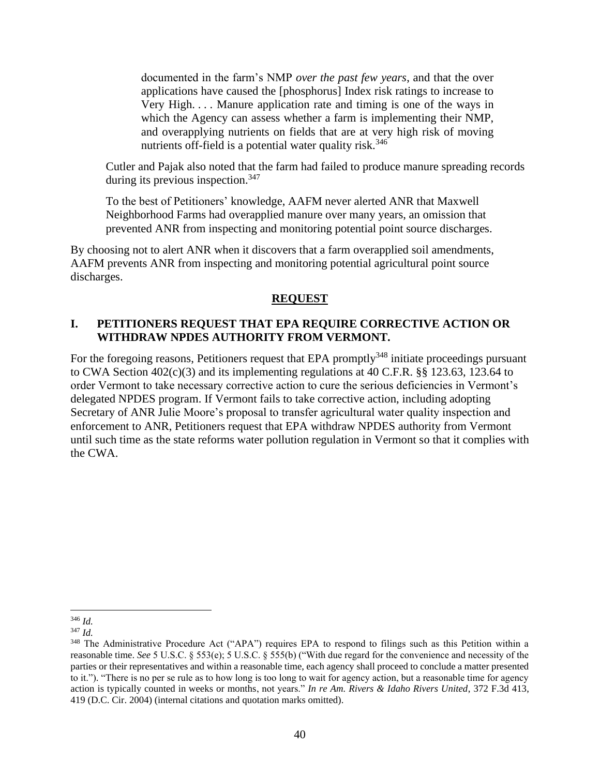documented in the farm's NMP *over the past few years*, and that the over applications have caused the [phosphorus] Index risk ratings to increase to Very High. . . . Manure application rate and timing is one of the ways in which the Agency can assess whether a farm is implementing their NMP, and overapplying nutrients on fields that are at very high risk of moving nutrients off-field is a potential water quality risk.<sup>346</sup>

Cutler and Pajak also noted that the farm had failed to produce manure spreading records during its previous inspection.  $347$ 

To the best of Petitioners' knowledge, AAFM never alerted ANR that Maxwell Neighborhood Farms had overapplied manure over many years, an omission that prevented ANR from inspecting and monitoring potential point source discharges.

By choosing not to alert ANR when it discovers that a farm overapplied soil amendments, AAFM prevents ANR from inspecting and monitoring potential agricultural point source discharges.

#### **REQUEST**

#### <span id="page-42-1"></span><span id="page-42-0"></span>**I. PETITIONERS REQUEST THAT EPA REQUIRE CORRECTIVE ACTION OR WITHDRAW NPDES AUTHORITY FROM VERMONT.**

For the foregoing reasons, Petitioners request that EPA promptly<sup>348</sup> initiate proceedings pursuant to CWA Section 402(c)(3) and its implementing regulations at 40 C.F.R. §§ 123.63, 123.64 to order Vermont to take necessary corrective action to cure the serious deficiencies in Vermont's delegated NPDES program. If Vermont fails to take corrective action, including adopting Secretary of ANR Julie Moore's proposal to transfer agricultural water quality inspection and enforcement to ANR, Petitioners request that EPA withdraw NPDES authority from Vermont until such time as the state reforms water pollution regulation in Vermont so that it complies with the CWA.

<sup>346</sup> *Id.*

<sup>347</sup> *Id.*

<sup>&</sup>lt;sup>348</sup> The Administrative Procedure Act ("APA") requires EPA to respond to filings such as this Petition within a reasonable time. *See* 5 U.S.C. § 553(e); 5 U.S.C. § 555(b) ("With due regard for the convenience and necessity of the parties or their representatives and within a reasonable time, each agency shall proceed to conclude a matter presented to it."). "There is no per se rule as to how long is too long to wait for agency action, but a reasonable time for agency action is typically counted in weeks or months, not years." *In re Am. Rivers & Idaho Rivers United*, 372 F.3d 413, 419 (D.C. Cir. 2004) (internal citations and quotation marks omitted).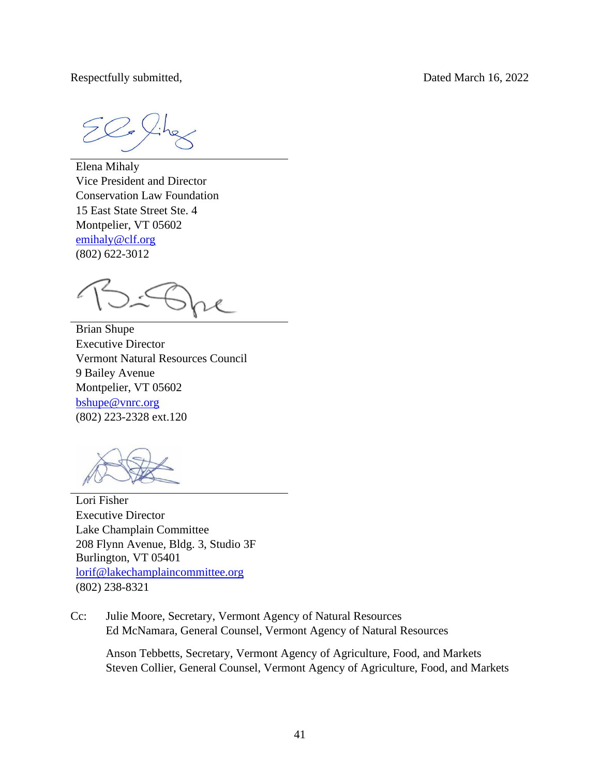Respectfully submitted, Dated March 16, 2022

Elena Mihaly Vice President and Director Conservation Law Foundation 15 East State Street Ste. 4 Montpelier, VT 05602 [emihaly@clf.org](mailto:emihaly@clf.org) (802) 622-3012

Brian Shupe Executive Director Vermont Natural Resources Council 9 Bailey Avenue Montpelier, VT 05602 [bshupe@vnrc.org](mailto:bshupe@vnrc.org) (802) 223-2328 ext.120

Lori Fisher Executive Director Lake Champlain Committee 208 Flynn Avenue, Bldg. 3, Studio 3F Burlington, VT 05401 [lorif@lakechamplaincommittee.org](mailto:lorif@lakechamplaincommittee.org) (802) 238-8321

Cc: Julie Moore, Secretary, Vermont Agency of Natural Resources Ed McNamara, General Counsel, Vermont Agency of Natural Resources

Anson Tebbetts, Secretary, Vermont Agency of Agriculture, Food, and Markets Steven Collier, General Counsel, Vermont Agency of Agriculture, Food, and Markets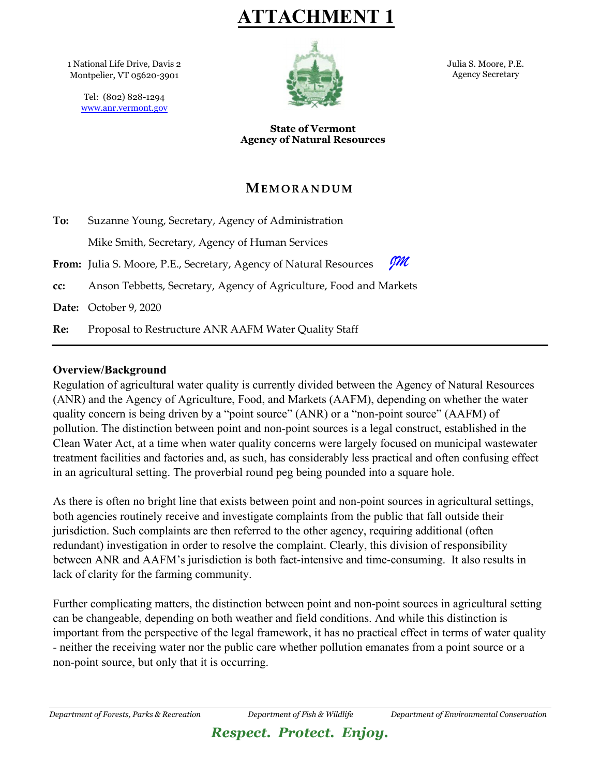**ATTACHMENT 1**

1 National Life Drive, Davis 2 Montpelier, VT 05620-3901

Tel: (802) 828-1294 [www.anr.vermont.gov](http://www.anr.vermont.gov/)



Julia S. Moore, P.E. Agency Secretary

**State of Vermont Agency of Natural Resources**

## **MEMORANDUM**

| To: | Suzanne Young, Secretary, Agency of Administration                       |  |  |
|-----|--------------------------------------------------------------------------|--|--|
|     | Mike Smith, Secretary, Agency of Human Services                          |  |  |
|     | gm<br>From: Julia S. Moore, P.E., Secretary, Agency of Natural Resources |  |  |
| cc: | Anson Tebbetts, Secretary, Agency of Agriculture, Food and Markets       |  |  |
|     | Date: October 9, 2020                                                    |  |  |
| Re: | Proposal to Restructure ANR AAFM Water Quality Staff                     |  |  |

#### **Overview/Background**

Regulation of agricultural water quality is currently divided between the Agency of Natural Resources (ANR) and the Agency of Agriculture, Food, and Markets (AAFM), depending on whether the water quality concern is being driven by a "point source" (ANR) or a "non-point source" (AAFM) of pollution. The distinction between point and non-point sources is a legal construct, established in the Clean Water Act, at a time when water quality concerns were largely focused on municipal wastewater treatment facilities and factories and, as such, has considerably less practical and often confusing effect in an agricultural setting. The proverbial round peg being pounded into a square hole.

As there is often no bright line that exists between point and non-point sources in agricultural settings, both agencies routinely receive and investigate complaints from the public that fall outside their jurisdiction. Such complaints are then referred to the other agency, requiring additional (often redundant) investigation in order to resolve the complaint. Clearly, this division of responsibility between ANR and AAFM's jurisdiction is both fact-intensive and time-consuming. It also results in lack of clarity for the farming community.

Further complicating matters, the distinction between point and non-point sources in agricultural setting can be changeable, depending on both weather and field conditions. And while this distinction is important from the perspective of the legal framework, it has no practical effect in terms of water quality - neither the receiving water nor the public care whether pollution emanates from a point source or a non-point source, but only that it is occurring.

# *Respect. Protect. Enjoy.*